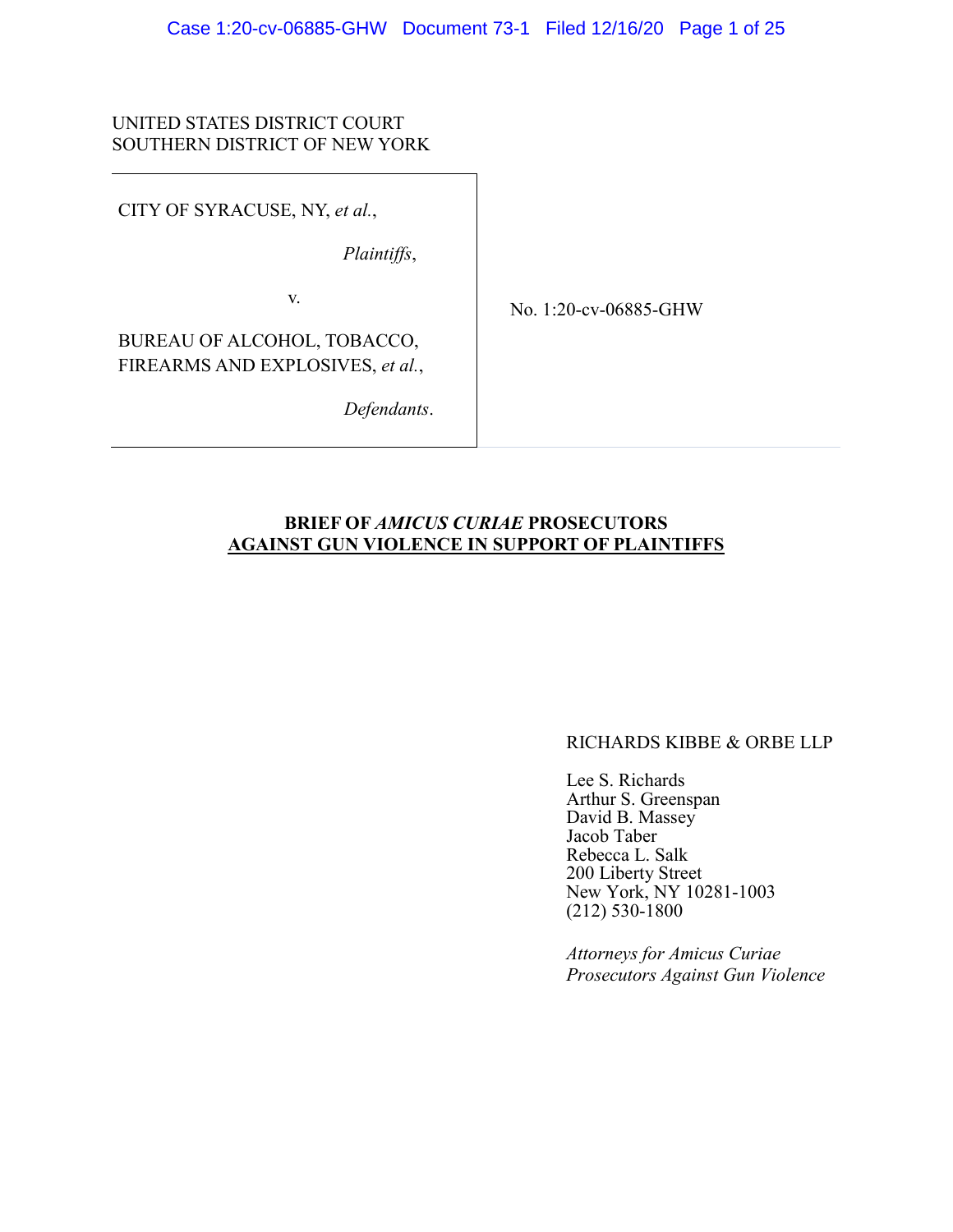# UNITED STATES DISTRICT COURT SOUTHERN DISTRICT OF NEW YORK

CITY OF SYRACUSE, NY, *et al.*,

*Plaintiffs*,

v.

No. 1:20-cv-06885-GHW

BUREAU OF ALCOHOL, TOBACCO, FIREARMS AND EXPLOSIVES, *et al.*,

*Defendants*.

# **BRIEF OF** *AMICUS CURIAE* **PROSECUTORS AGAINST GUN VIOLENCE IN SUPPORT OF PLAINTIFFS**

#### RICHARDS KIBBE & ORBE LLP

Lee S. Richards Arthur S. Greenspan David B. Massey Jacob Taber Rebecca L. Salk 200 Liberty Street New York, NY 10281-1003 (212) 530-1800

*Attorneys for Amicus Curiae Prosecutors Against Gun Violence*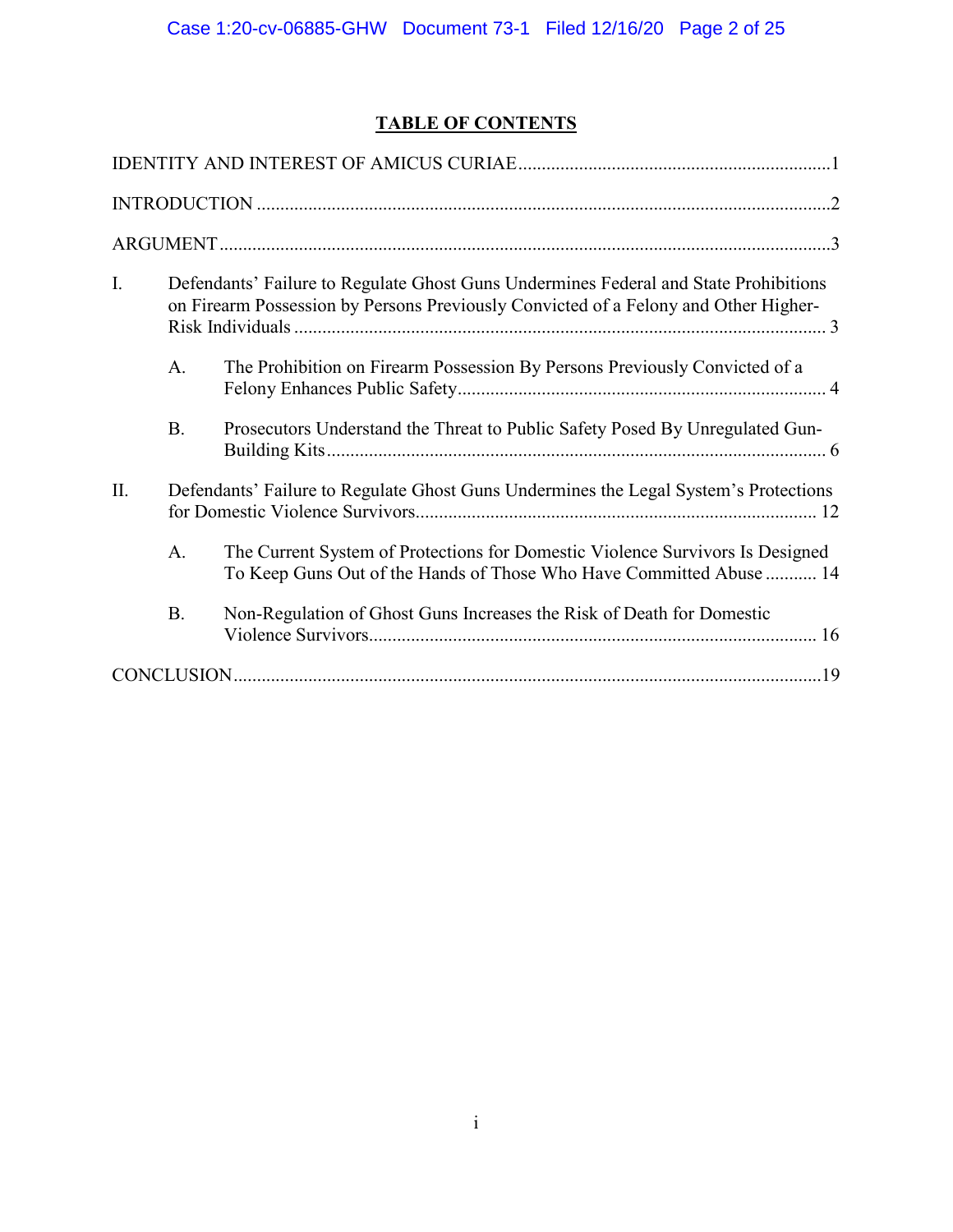# **TABLE OF CONTENTS**

| I.  | Defendants' Failure to Regulate Ghost Guns Undermines Federal and State Prohibitions<br>on Firearm Possession by Persons Previously Convicted of a Felony and Other Higher- |                                                                                                                                                      |  |  |  |
|-----|-----------------------------------------------------------------------------------------------------------------------------------------------------------------------------|------------------------------------------------------------------------------------------------------------------------------------------------------|--|--|--|
|     | A.                                                                                                                                                                          | The Prohibition on Firearm Possession By Persons Previously Convicted of a                                                                           |  |  |  |
|     | <b>B.</b>                                                                                                                                                                   | Prosecutors Understand the Threat to Public Safety Posed By Unregulated Gun-                                                                         |  |  |  |
| II. | Defendants' Failure to Regulate Ghost Guns Undermines the Legal System's Protections                                                                                        |                                                                                                                                                      |  |  |  |
|     | A.                                                                                                                                                                          | The Current System of Protections for Domestic Violence Survivors Is Designed<br>To Keep Guns Out of the Hands of Those Who Have Committed Abuse  14 |  |  |  |
|     | <b>B.</b>                                                                                                                                                                   | Non-Regulation of Ghost Guns Increases the Risk of Death for Domestic                                                                                |  |  |  |
|     |                                                                                                                                                                             |                                                                                                                                                      |  |  |  |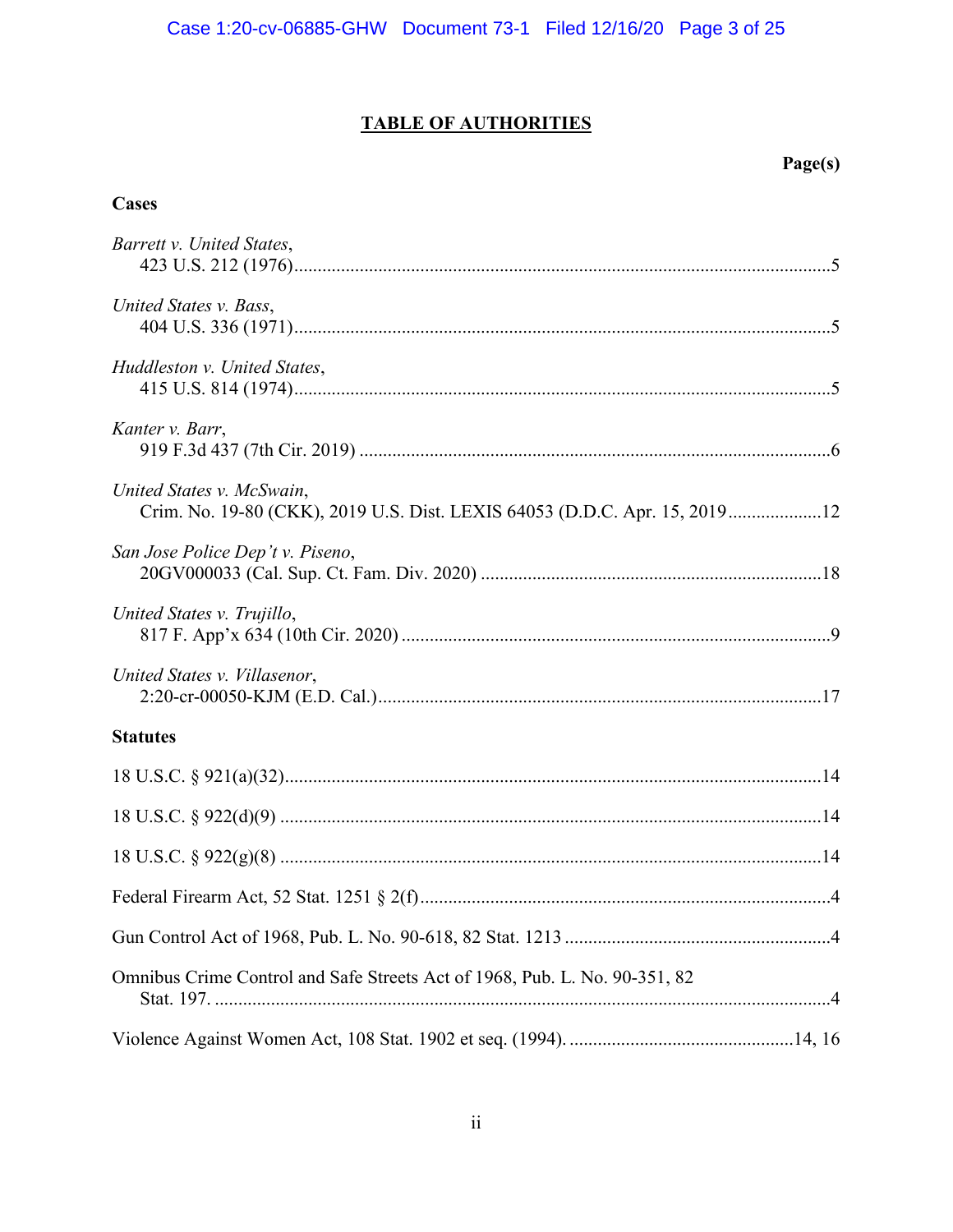# **TABLE OF AUTHORITIES**

# $Page(s)$

# **Cases**

| Barrett v. United States,                                                                               |
|---------------------------------------------------------------------------------------------------------|
| United States v. Bass,                                                                                  |
| Huddleston v. United States,                                                                            |
| Kanter v. Barr,                                                                                         |
| United States v. McSwain,<br>Crim. No. 19-80 (CKK), 2019 U.S. Dist. LEXIS 64053 (D.D.C. Apr. 15, 201912 |
| San Jose Police Dep't v. Piseno,                                                                        |
| United States v. Trujillo,                                                                              |
| United States v. Villasenor,                                                                            |
| <b>Statutes</b>                                                                                         |
|                                                                                                         |
|                                                                                                         |
|                                                                                                         |
|                                                                                                         |
|                                                                                                         |
| Omnibus Crime Control and Safe Streets Act of 1968, Pub. L. No. 90-351, 82                              |
|                                                                                                         |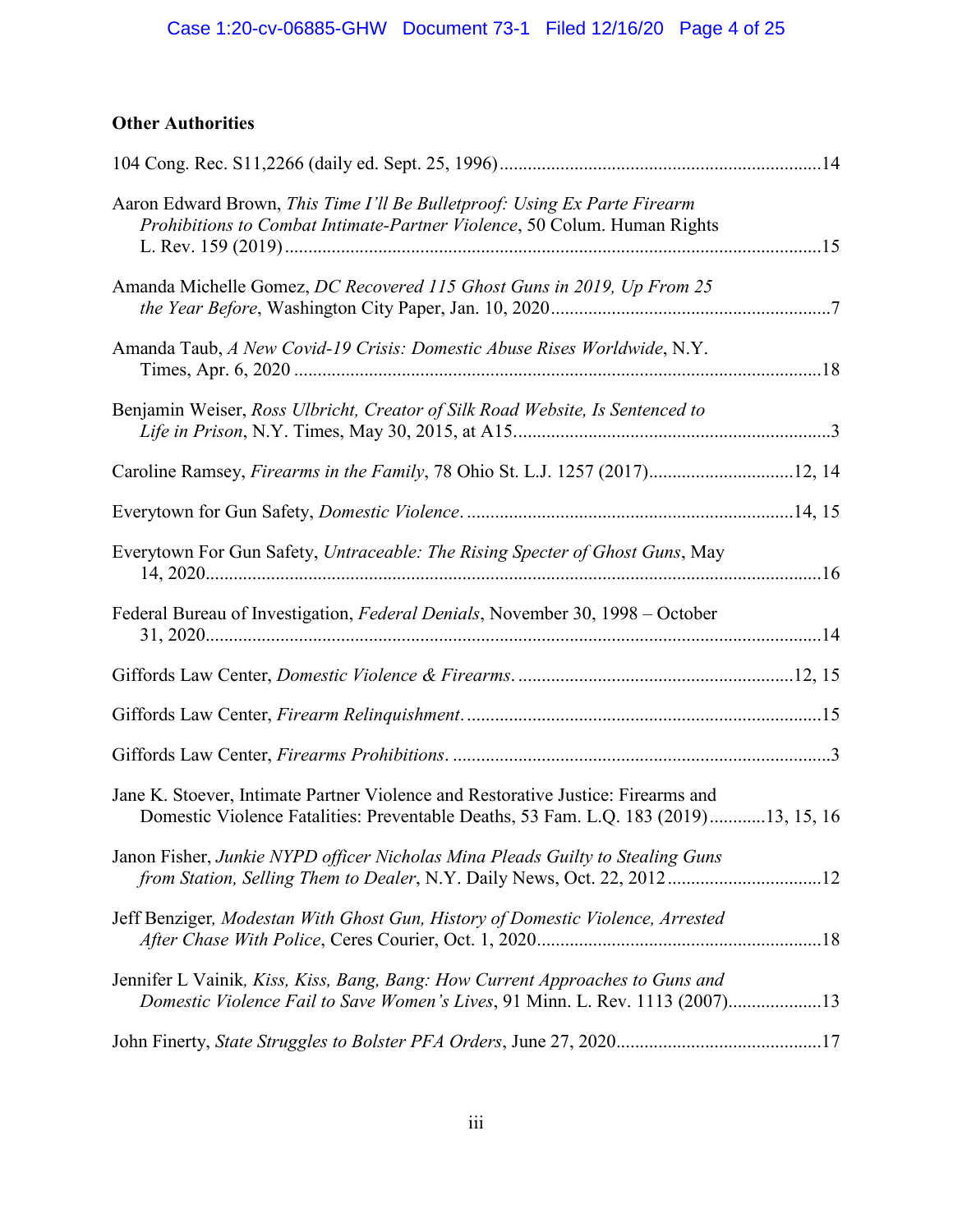# Case 1:20-cv-06885-GHW Document 73-1 Filed 12/16/20 Page 4 of 25

# **Other Authorities**

| Aaron Edward Brown, This Time I'll Be Bulletproof: Using Ex Parte Firearm<br>Prohibitions to Combat Intimate-Partner Violence, 50 Colum. Human Rights                   |  |
|-------------------------------------------------------------------------------------------------------------------------------------------------------------------------|--|
| Amanda Michelle Gomez, DC Recovered 115 Ghost Guns in 2019, Up From 25                                                                                                  |  |
| Amanda Taub, A New Covid-19 Crisis: Domestic Abuse Rises Worldwide, N.Y.                                                                                                |  |
| Benjamin Weiser, Ross Ulbricht, Creator of Silk Road Website, Is Sentenced to                                                                                           |  |
| Caroline Ramsey, Firearms in the Family, 78 Ohio St. L.J. 1257 (2017)12, 14                                                                                             |  |
|                                                                                                                                                                         |  |
| Everytown For Gun Safety, Untraceable: The Rising Specter of Ghost Guns, May                                                                                            |  |
| Federal Bureau of Investigation, Federal Denials, November 30, 1998 - October                                                                                           |  |
|                                                                                                                                                                         |  |
|                                                                                                                                                                         |  |
|                                                                                                                                                                         |  |
| Jane K. Stoever, Intimate Partner Violence and Restorative Justice: Firearms and<br>Domestic Violence Fatalities: Preventable Deaths, 53 Fam. L.Q. 183 (2019)13, 15, 16 |  |
| Janon Fisher, Junkie NYPD officer Nicholas Mina Pleads Guilty to Stealing Guns<br>from Station, Selling Them to Dealer, N.Y. Daily News, Oct. 22, 201212                |  |
| Jeff Benziger, Modestan With Ghost Gun, History of Domestic Violence, Arrested                                                                                          |  |
| Jennifer L Vainik, Kiss, Kiss, Bang, Bang: How Current Approaches to Guns and<br>Domestic Violence Fail to Save Women's Lives, 91 Minn. L. Rev. 1113 (2007)13           |  |
|                                                                                                                                                                         |  |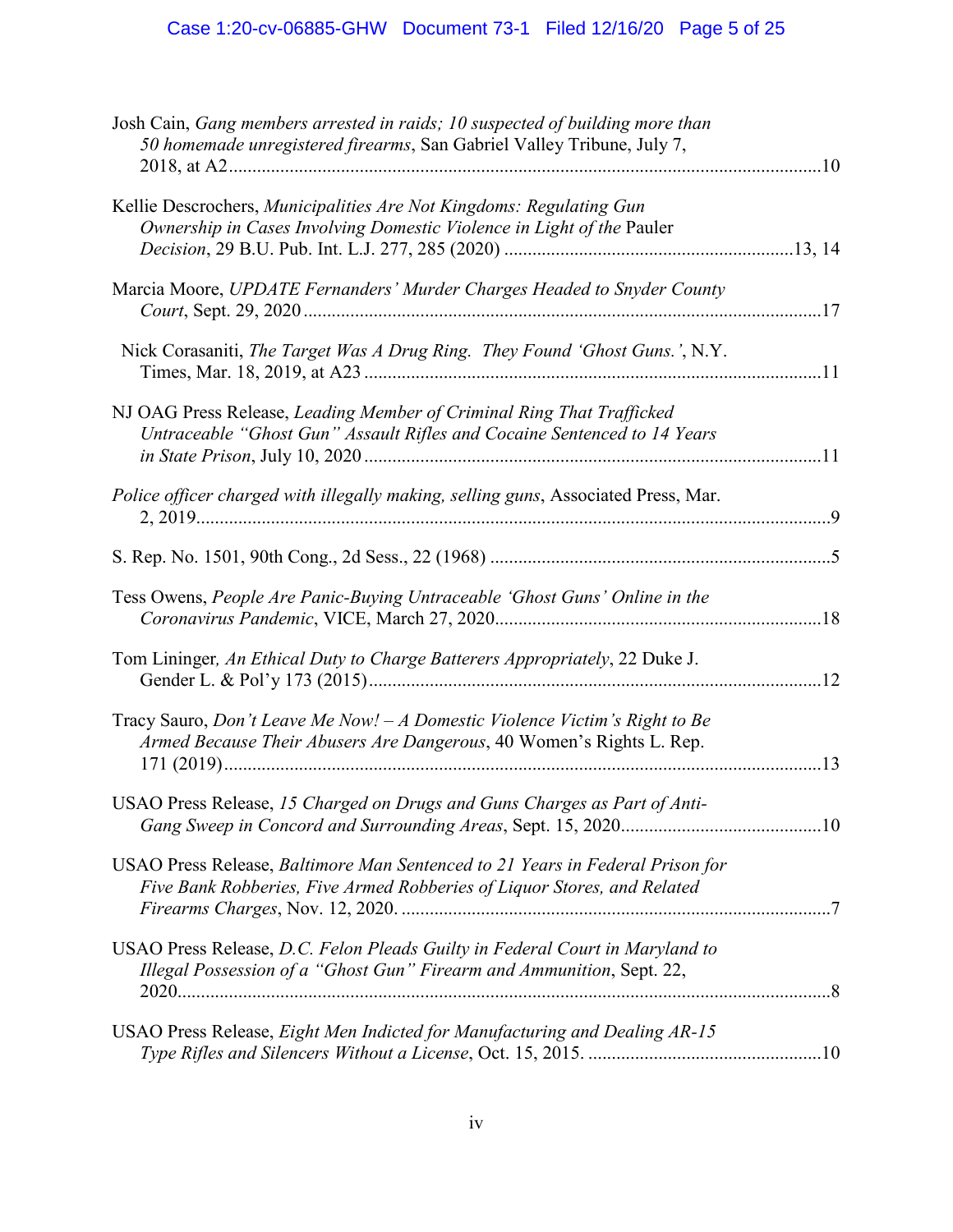| Josh Cain, Gang members arrested in raids; 10 suspected of building more than<br>50 homemade unregistered firearms, San Gabriel Valley Tribune, July 7,  |  |
|----------------------------------------------------------------------------------------------------------------------------------------------------------|--|
| Kellie Descrochers, Municipalities Are Not Kingdoms: Regulating Gun<br>Ownership in Cases Involving Domestic Violence in Light of the Pauler             |  |
| Marcia Moore, UPDATE Fernanders' Murder Charges Headed to Snyder County                                                                                  |  |
| Nick Corasaniti, The Target Was A Drug Ring. They Found 'Ghost Guns.', N.Y.                                                                              |  |
| NJ OAG Press Release, Leading Member of Criminal Ring That Trafficked<br>Untraceable "Ghost Gun" Assault Rifles and Cocaine Sentenced to 14 Years        |  |
| Police officer charged with illegally making, selling guns, Associated Press, Mar.                                                                       |  |
|                                                                                                                                                          |  |
| Tess Owens, People Are Panic-Buying Untraceable 'Ghost Guns' Online in the                                                                               |  |
| Tom Lininger, An Ethical Duty to Charge Batterers Appropriately, 22 Duke J.                                                                              |  |
| Tracy Sauro, Don't Leave Me Now! $-A$ Domestic Violence Victim's Right to Be<br>Armed Because Their Abusers Are Dangerous, 40 Women's Rights L. Rep.     |  |
| USAO Press Release, 15 Charged on Drugs and Guns Charges as Part of Anti-                                                                                |  |
| USAO Press Release, Baltimore Man Sentenced to 21 Years in Federal Prison for<br>Five Bank Robberies, Five Armed Robberies of Liquor Stores, and Related |  |
| USAO Press Release, D.C. Felon Pleads Guilty in Federal Court in Maryland to<br>Illegal Possession of a "Ghost Gun" Firearm and Ammunition, Sept. 22,    |  |
| USAO Press Release, Eight Men Indicted for Manufacturing and Dealing AR-15                                                                               |  |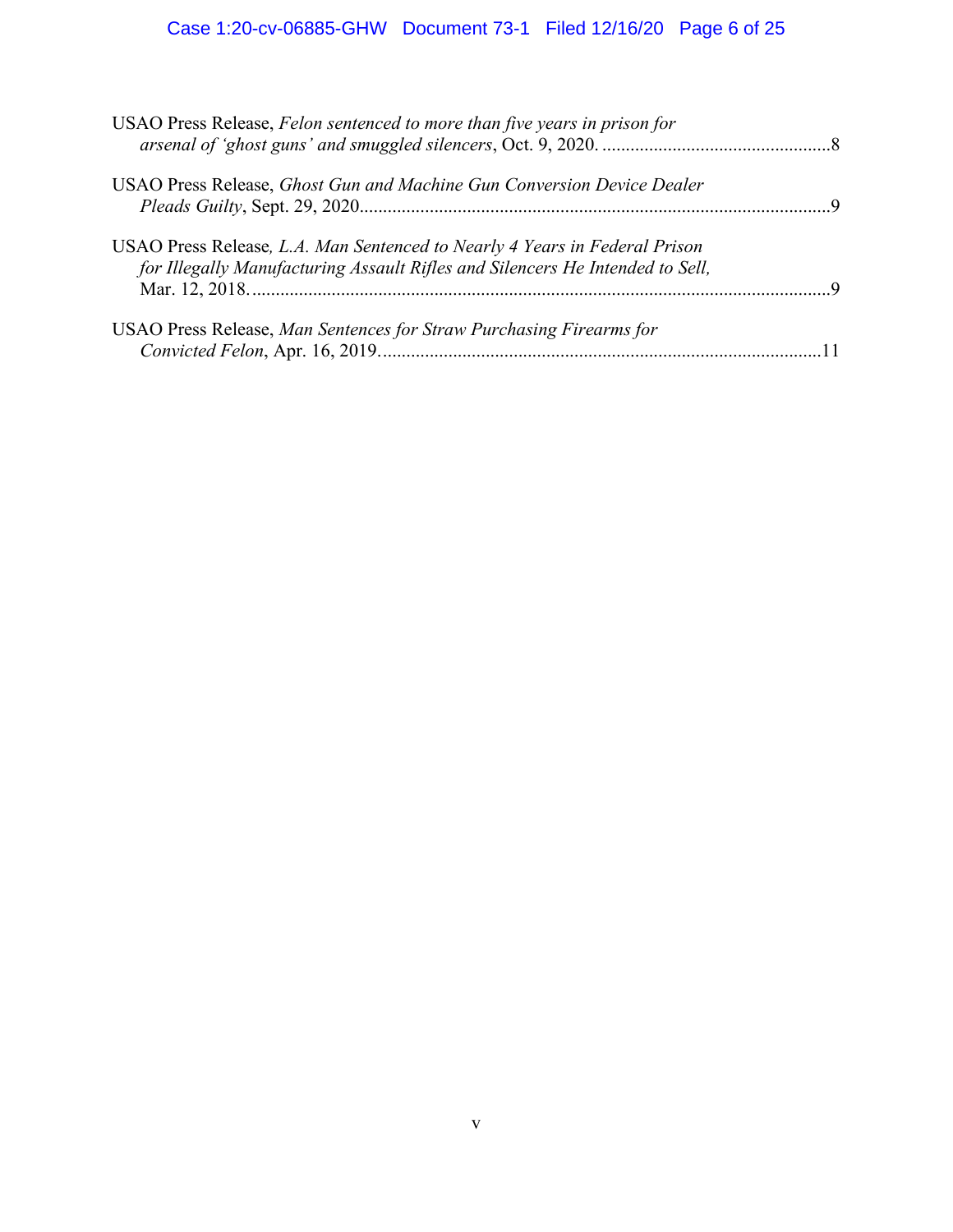# Case 1:20-cv-06885-GHW Document 73-1 Filed 12/16/20 Page 6 of 25

| USAO Press Release, Felon sentenced to more than five years in prison for                                                                                   |  |
|-------------------------------------------------------------------------------------------------------------------------------------------------------------|--|
| USAO Press Release, Ghost Gun and Machine Gun Conversion Device Dealer                                                                                      |  |
| USAO Press Release, L.A. Man Sentenced to Nearly 4 Years in Federal Prison<br>for Illegally Manufacturing Assault Rifles and Silencers He Intended to Sell, |  |
| USAO Press Release, Man Sentences for Straw Purchasing Firearms for                                                                                         |  |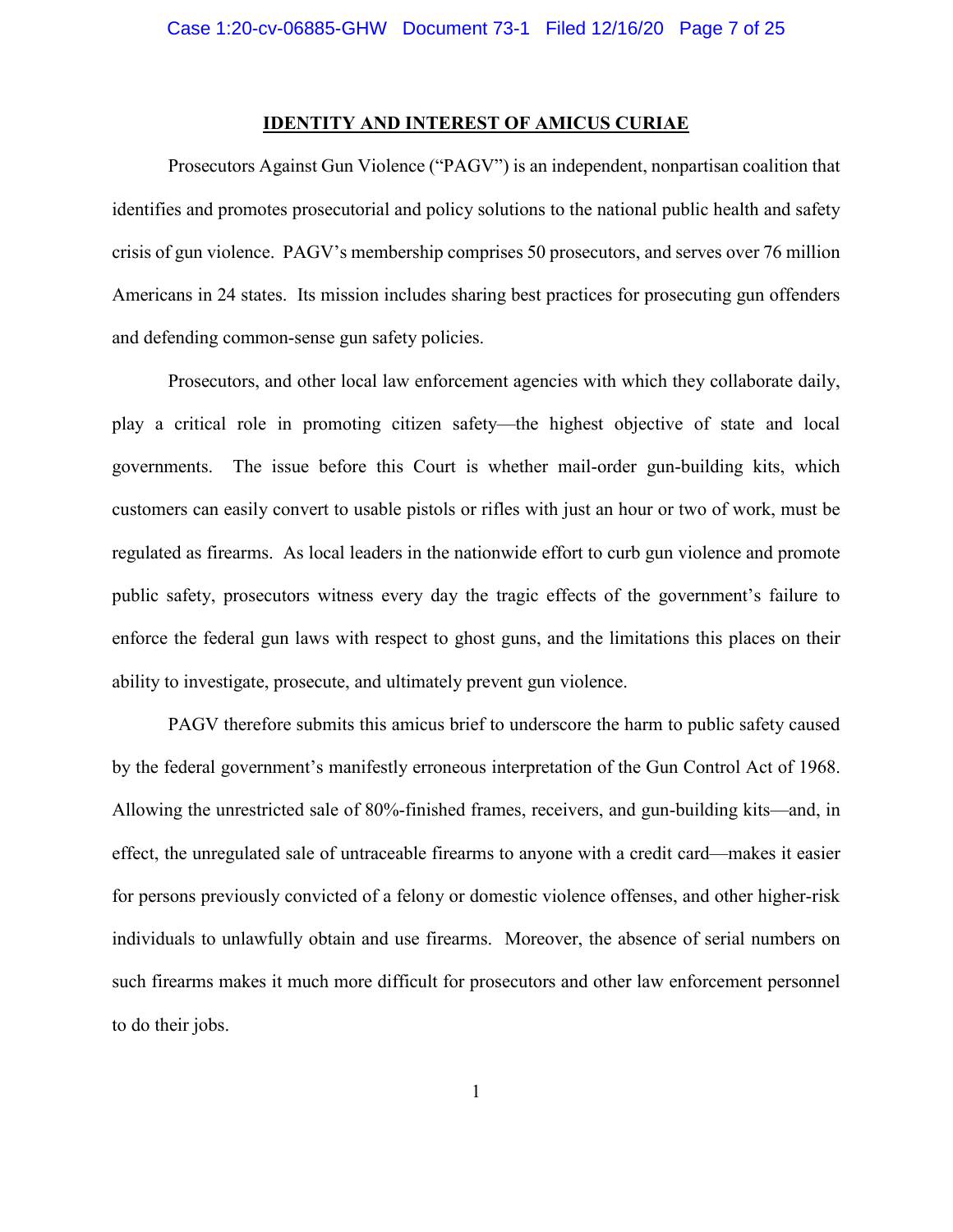#### **IDENTITY AND INTEREST OF AMICUS CURIAE**

Prosecutors Against Gun Violence ("PAGV") is an independent, nonpartisan coalition that identifies and promotes prosecutorial and policy solutions to the national public health and safety crisis of gun violence.PAGV's membership comprises 50 prosecutors, and serves over 76 million Americans in 24 states. Its mission includes sharing best practices for prosecuting gun offenders and defending common-sense gun safety policies.

Prosecutors, and other local law enforcement agencies with which they collaborate daily, play a critical role in promoting citizen safety—the highest objective of state and local governments. The issue before this Court is whether mail-order gun-building kits, which customers can easily convert to usable pistols or rifles with just an hour or two of work, must be regulated as firearms. As local leaders in the nationwide effort to curb gun violence and promote public safety, prosecutors witness every day the tragic effects of the government's failure to enforce the federal gun laws with respect to ghost guns, and the limitations this places on their ability to investigate, prosecute, and ultimately prevent gun violence.

PAGV therefore submits this amicus brief to underscore the harm to public safety caused by the federal government's manifestly erroneous interpretation of the Gun Control Act of 1968. Allowing the unrestricted sale of 80%-finished frames, receivers, and gun-building kits—and, in effect, the unregulated sale of untraceable firearms to anyone with a credit card—makes it easier for persons previously convicted of a felony or domestic violence offenses, and other higher-risk individuals to unlawfully obtain and use firearms. Moreover, the absence of serial numbers on such firearms makes it much more difficult for prosecutors and other law enforcement personnel to do their jobs.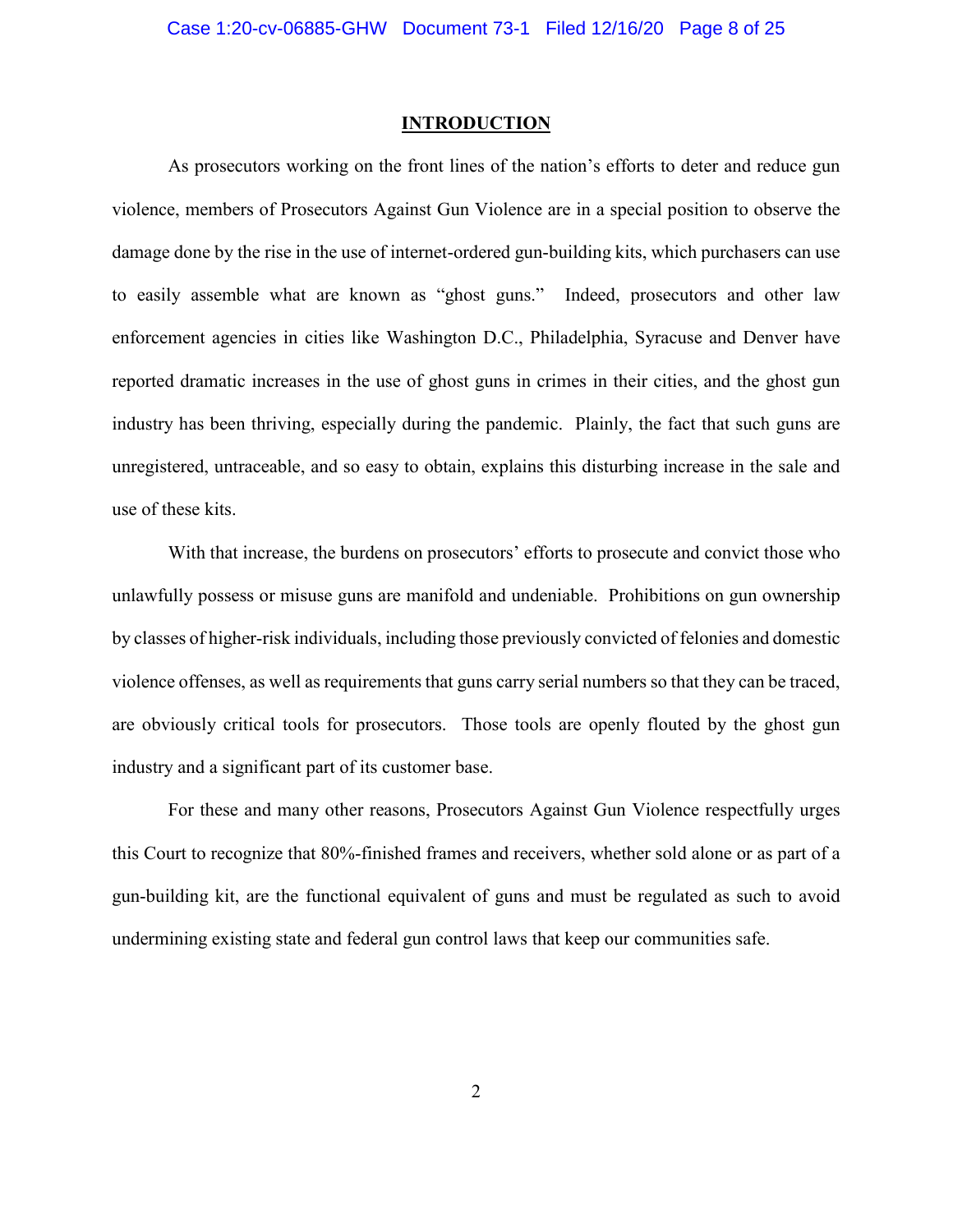#### **INTRODUCTION**

As prosecutors working on the front lines of the nation's efforts to deter and reduce gun violence, members of Prosecutors Against Gun Violence are in a special position to observe the damage done by the rise in the use of internet-ordered gun-building kits, which purchasers can use to easily assemble what are known as "ghost guns." Indeed, prosecutors and other law enforcement agencies in cities like Washington D.C., Philadelphia, Syracuse and Denver have reported dramatic increases in the use of ghost guns in crimes in their cities, and the ghost gun industry has been thriving, especially during the pandemic. Plainly, the fact that such guns are unregistered, untraceable, and so easy to obtain, explains this disturbing increase in the sale and use of these kits.

With that increase, the burdens on prosecutors' efforts to prosecute and convict those who unlawfully possess or misuse guns are manifold and undeniable. Prohibitions on gun ownership by classes of higher-risk individuals, including those previously convicted of felonies and domestic violence offenses, as well as requirements that guns carry serial numbers so that they can be traced, are obviously critical tools for prosecutors. Those tools are openly flouted by the ghost gun industry and a significant part of its customer base.

For these and many other reasons, Prosecutors Against Gun Violence respectfully urges this Court to recognize that 80%-finished frames and receivers, whether sold alone or as part of a gun-building kit, are the functional equivalent of guns and must be regulated as such to avoid undermining existing state and federal gun control laws that keep our communities safe.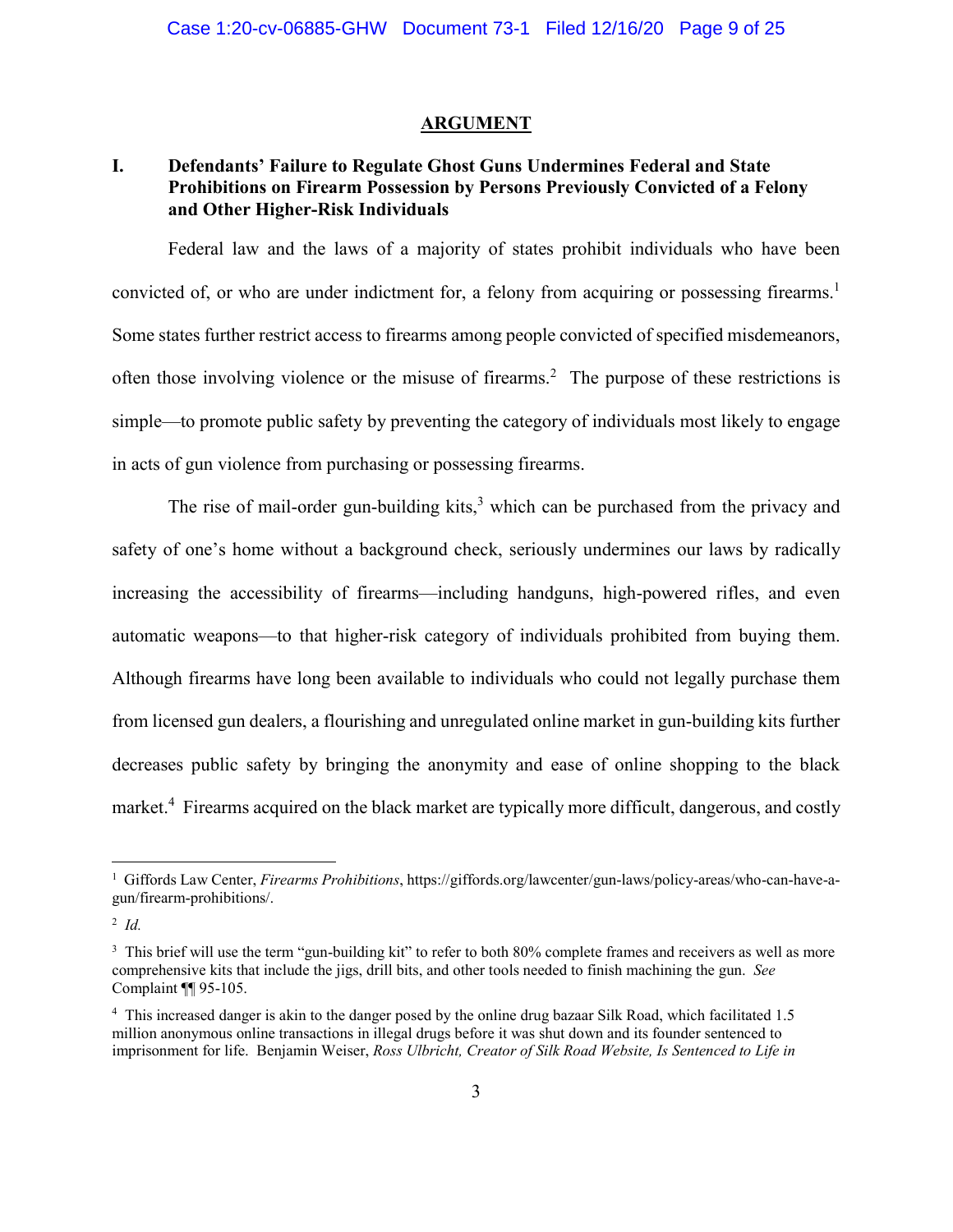#### **ARGUMENT**

# **I. Defendants' Failure to Regulate Ghost Guns Undermines Federal and State Prohibitions on Firearm Possession by Persons Previously Convicted of a Felony and Other Higher-Risk Individuals**

Federal law and the laws of a majority of states prohibit individuals who have been convicted of, or who are under indictment for, a felony from acquiring or possessing firearms.<sup>1</sup> Some states further restrict access to firearms among people convicted of specified misdemeanors, often those involving violence or the misuse of firearms.<sup>2</sup> The purpose of these restrictions is simple—to promote public safety by preventing the category of individuals most likely to engage in acts of gun violence from purchasing or possessing firearms.

The rise of mail-order gun-building kits,<sup>3</sup> which can be purchased from the privacy and safety of one's home without a background check, seriously undermines our laws by radically increasing the accessibility of firearms—including handguns, high-powered rifles, and even automatic weapons—to that higher-risk category of individuals prohibited from buying them. Although firearms have long been available to individuals who could not legally purchase them from licensed gun dealers, a flourishing and unregulated online market in gun-building kits further decreases public safety by bringing the anonymity and ease of online shopping to the black market.<sup>4</sup> Firearms acquired on the black market are typically more difficult, dangerous, and costly

<sup>1</sup> Giffords Law Center, *Firearms Prohibitions*, https://giffords.org/lawcenter/gun-laws/policy-areas/who-can-have-agun/firearm-prohibitions/.

<sup>2</sup> *Id.*

<sup>&</sup>lt;sup>3</sup> This brief will use the term "gun-building kit" to refer to both 80% complete frames and receivers as well as more comprehensive kits that include the jigs, drill bits, and other tools needed to finish machining the gun. *See*  Complaint ¶¶ 95-105.

<sup>&</sup>lt;sup>4</sup> This increased danger is akin to the danger posed by the online drug bazaar Silk Road, which facilitated 1.5 million anonymous online transactions in illegal drugs before it was shut down and its founder sentenced to imprisonment for life. Benjamin Weiser, *Ross Ulbricht, Creator of Silk Road Website, Is Sentenced to Life in*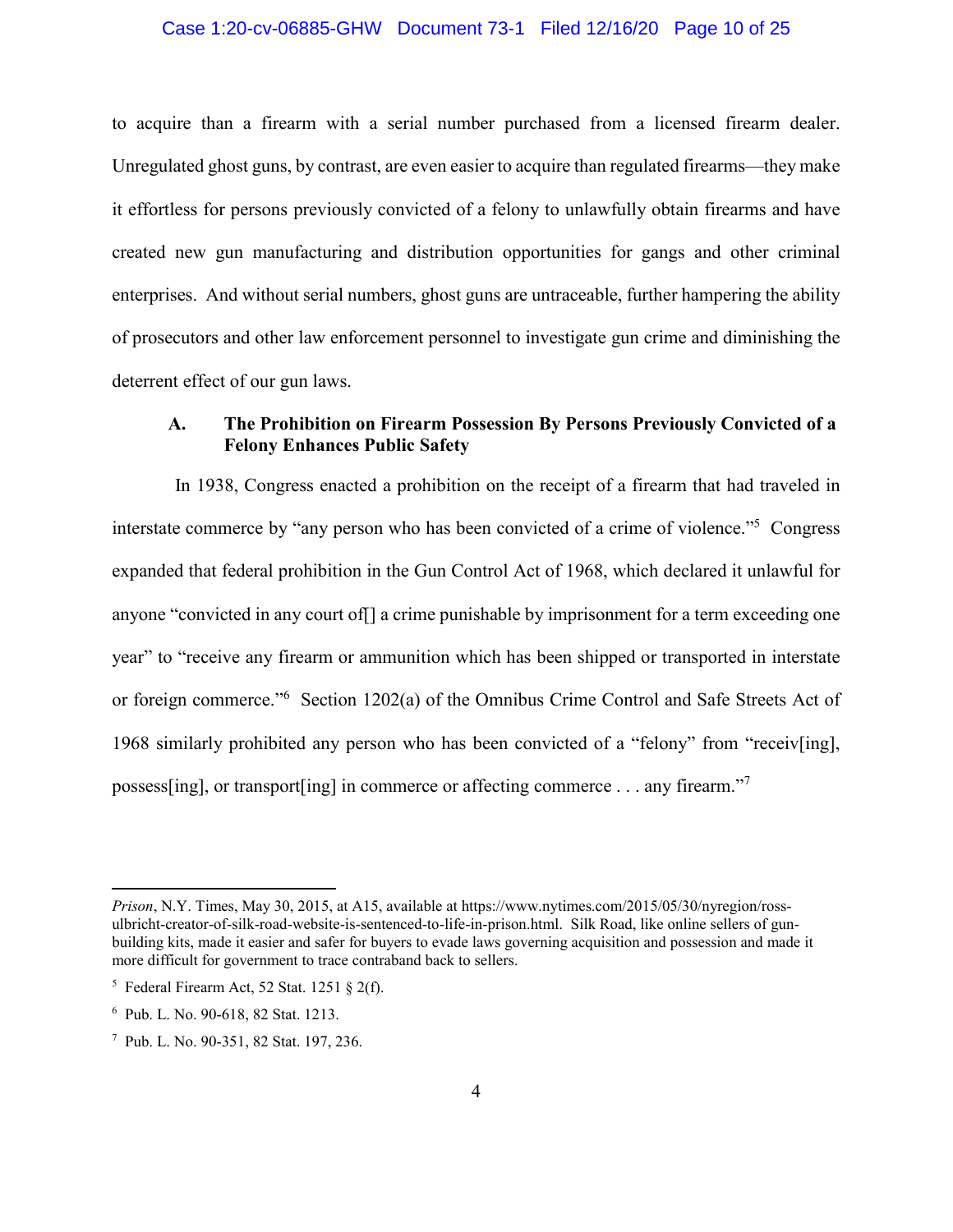#### Case 1:20-cv-06885-GHW Document 73-1 Filed 12/16/20 Page 10 of 25

to acquire than a firearm with a serial number purchased from a licensed firearm dealer. Unregulated ghost guns, by contrast, are even easier to acquire than regulated firearms—they make it effortless for persons previously convicted of a felony to unlawfully obtain firearms and have created new gun manufacturing and distribution opportunities for gangs and other criminal enterprises. And without serial numbers, ghost guns are untraceable, further hampering the ability of prosecutors and other law enforcement personnel to investigate gun crime and diminishing the deterrent effect of our gun laws.

# **A. The Prohibition on Firearm Possession By Persons Previously Convicted of a Felony Enhances Public Safety**

In 1938, Congress enacted a prohibition on the receipt of a firearm that had traveled in interstate commerce by "any person who has been convicted of a crime of violence."<sup>5</sup> Congress expanded that federal prohibition in the Gun Control Act of 1968, which declared it unlawful for anyone "convicted in any court of  $\lceil \cdot \rceil$  a crime punishable by imprisonment for a term exceeding one year" to "receive any firearm or ammunition which has been shipped or transported in interstate or foreign commerce."<sup>6</sup> Section 1202(a) of the Omnibus Crime Control and Safe Streets Act of 1968 similarly prohibited any person who has been convicted of a "felony" from "receiv[ing], possess[ing], or transport[ing] in commerce or affecting commerce . . . any firearm."<sup>7</sup>

 $\overline{a}$ 

*Prison*, N.Y. Times, May 30, 2015, at A15, available at https://www.nytimes.com/2015/05/30/nyregion/rossulbricht-creator-of-silk-road-website-is-sentenced-to-life-in-prison.html. Silk Road, like online sellers of gunbuilding kits, made it easier and safer for buyers to evade laws governing acquisition and possession and made it more difficult for government to trace contraband back to sellers.

<sup>&</sup>lt;sup>5</sup> Federal Firearm Act, 52 Stat. 1251 § 2(f).

<sup>6</sup> Pub. L. No. 90-618, 82 Stat. 1213.

<sup>7</sup> Pub. L. No. 90-351, 82 Stat. 197, 236.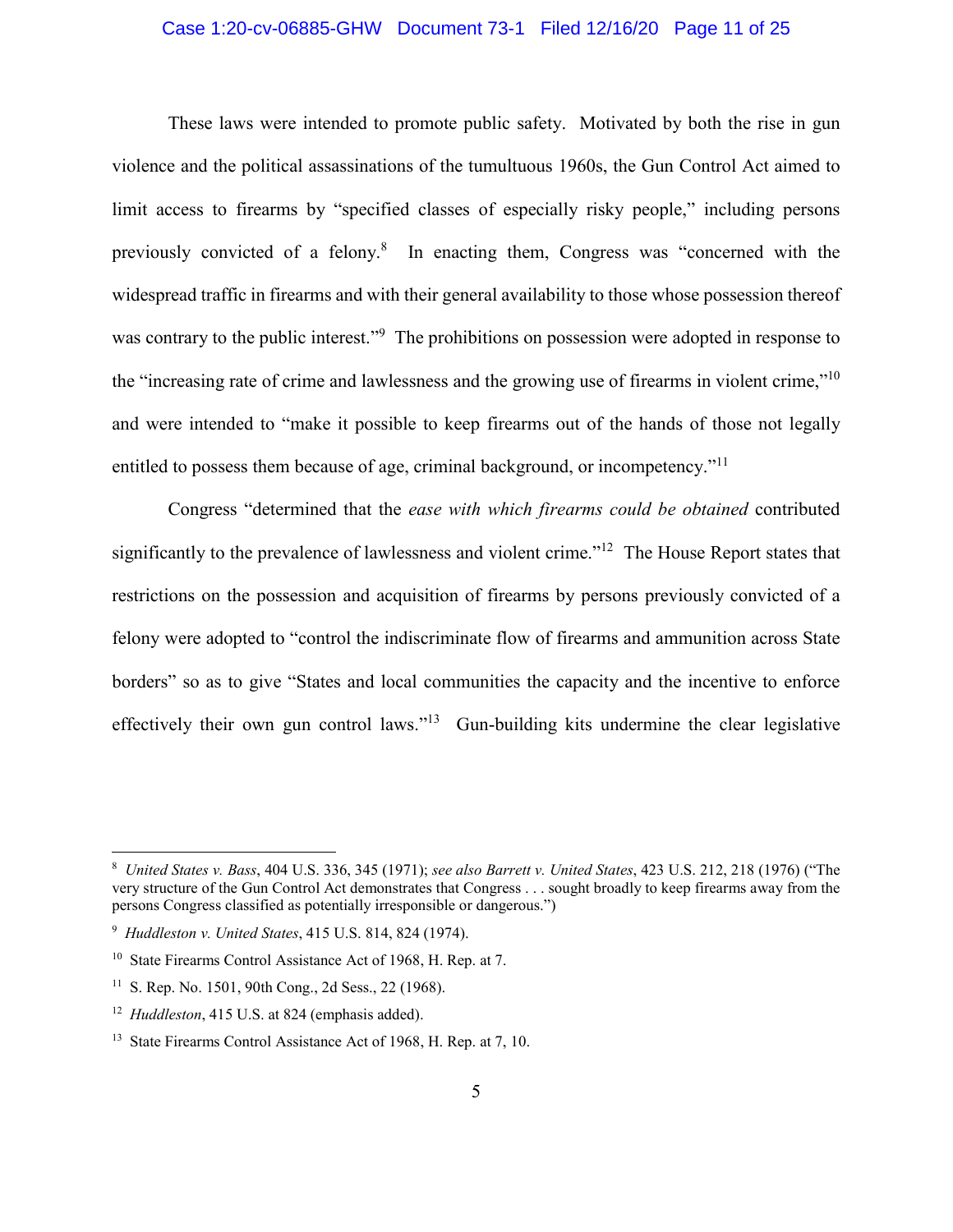# Case 1:20-cv-06885-GHW Document 73-1 Filed 12/16/20 Page 11 of 25

These laws were intended to promote public safety. Motivated by both the rise in gun violence and the political assassinations of the tumultuous 1960s, the Gun Control Act aimed to limit access to firearms by "specified classes of especially risky people," including persons previously convicted of a felony.<sup>8</sup> In enacting them, Congress was "concerned with the widespread traffic in firearms and with their general availability to those whose possession thereof was contrary to the public interest."<sup>9</sup> The prohibitions on possession were adopted in response to the "increasing rate of crime and lawlessness and the growing use of firearms in violent crime,"10 and were intended to "make it possible to keep firearms out of the hands of those not legally entitled to possess them because of age, criminal background, or incompetency."<sup>11</sup>

Congress "determined that the *ease with which firearms could be obtained* contributed significantly to the prevalence of lawlessness and violent crime."<sup>12</sup> The House Report states that restrictions on the possession and acquisition of firearms by persons previously convicted of a felony were adopted to "control the indiscriminate flow of firearms and ammunition across State borders" so as to give "States and local communities the capacity and the incentive to enforce effectively their own gun control laws."13 Gun-building kits undermine the clear legislative

<sup>8</sup> *United States v. Bass*, 404 U.S. 336, 345 (1971); *see also Barrett v. United States*, 423 U.S. 212, 218 (1976) ("The very structure of the Gun Control Act demonstrates that Congress . . . sought broadly to keep firearms away from the persons Congress classified as potentially irresponsible or dangerous.")

<sup>9</sup> *Huddleston v. United States*, 415 U.S. 814, 824 (1974).

<sup>&</sup>lt;sup>10</sup> State Firearms Control Assistance Act of 1968, H. Rep. at 7.

<sup>11</sup> S. Rep. No. 1501, 90th Cong., 2d Sess., 22 (1968).

<sup>12</sup> *Huddleston*, 415 U.S. at 824 (emphasis added).

<sup>&</sup>lt;sup>13</sup> State Firearms Control Assistance Act of 1968, H. Rep. at 7, 10.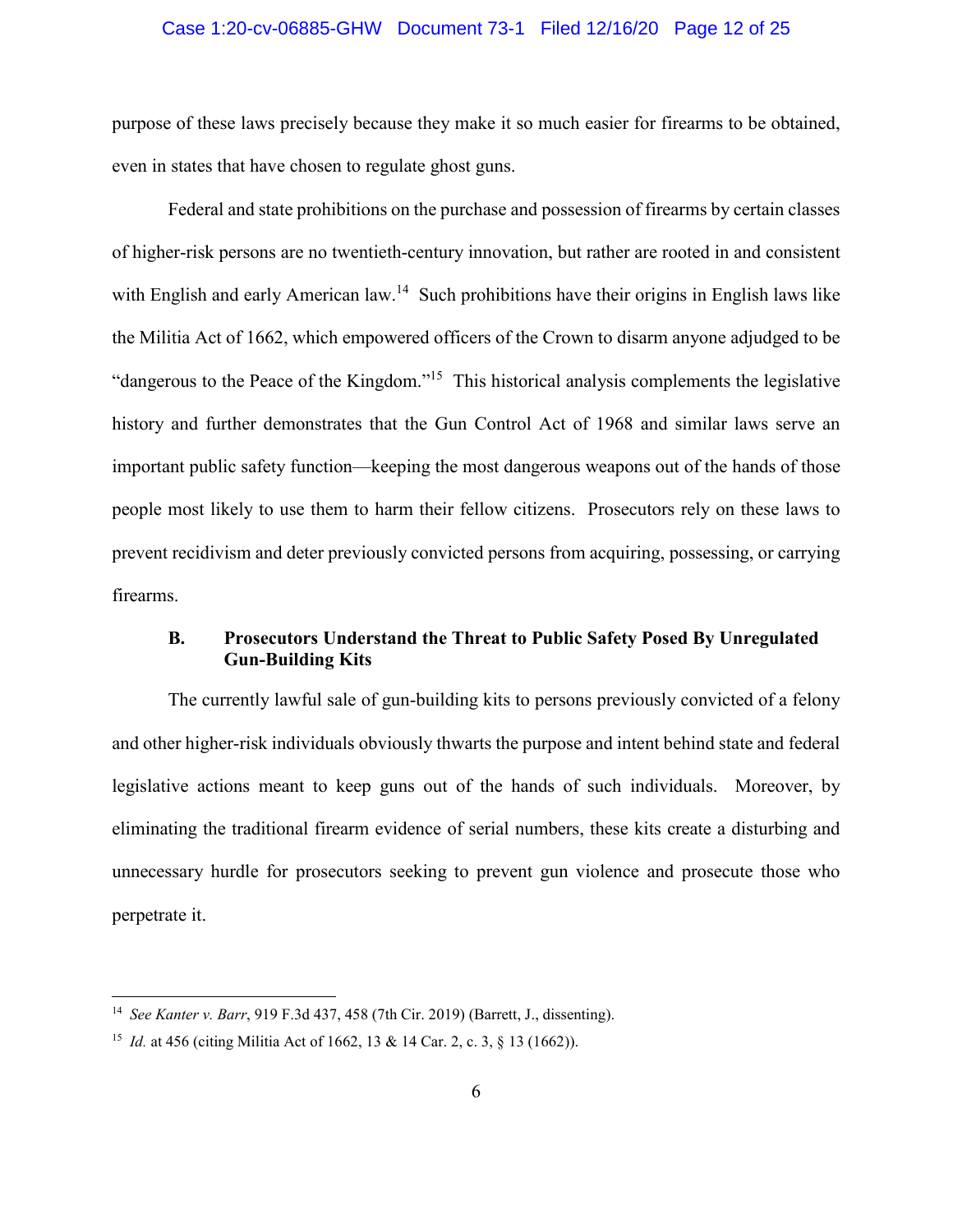#### Case 1:20-cv-06885-GHW Document 73-1 Filed 12/16/20 Page 12 of 25

purpose of these laws precisely because they make it so much easier for firearms to be obtained, even in states that have chosen to regulate ghost guns.

Federal and state prohibitions on the purchase and possession of firearms by certain classes of higher-risk persons are no twentieth-century innovation, but rather are rooted in and consistent with English and early American law.<sup>14</sup> Such prohibitions have their origins in English laws like the Militia Act of 1662, which empowered officers of the Crown to disarm anyone adjudged to be "dangerous to the Peace of the Kingdom."<sup>15</sup> This historical analysis complements the legislative history and further demonstrates that the Gun Control Act of 1968 and similar laws serve an important public safety function—keeping the most dangerous weapons out of the hands of those people most likely to use them to harm their fellow citizens. Prosecutors rely on these laws to prevent recidivism and deter previously convicted persons from acquiring, possessing, or carrying firearms.

# **B. Prosecutors Understand the Threat to Public Safety Posed By Unregulated Gun-Building Kits**

The currently lawful sale of gun-building kits to persons previously convicted of a felony and other higher-risk individuals obviously thwarts the purpose and intent behind state and federal legislative actions meant to keep guns out of the hands of such individuals. Moreover, by eliminating the traditional firearm evidence of serial numbers, these kits create a disturbing and unnecessary hurdle for prosecutors seeking to prevent gun violence and prosecute those who perpetrate it.

<sup>14</sup> *See Kanter v. Barr*, 919 F.3d 437, 458 (7th Cir. 2019) (Barrett, J., dissenting).

<sup>15</sup> *Id.* at 456 (citing Militia Act of 1662, 13 & 14 Car. 2, c. 3, § 13 (1662)).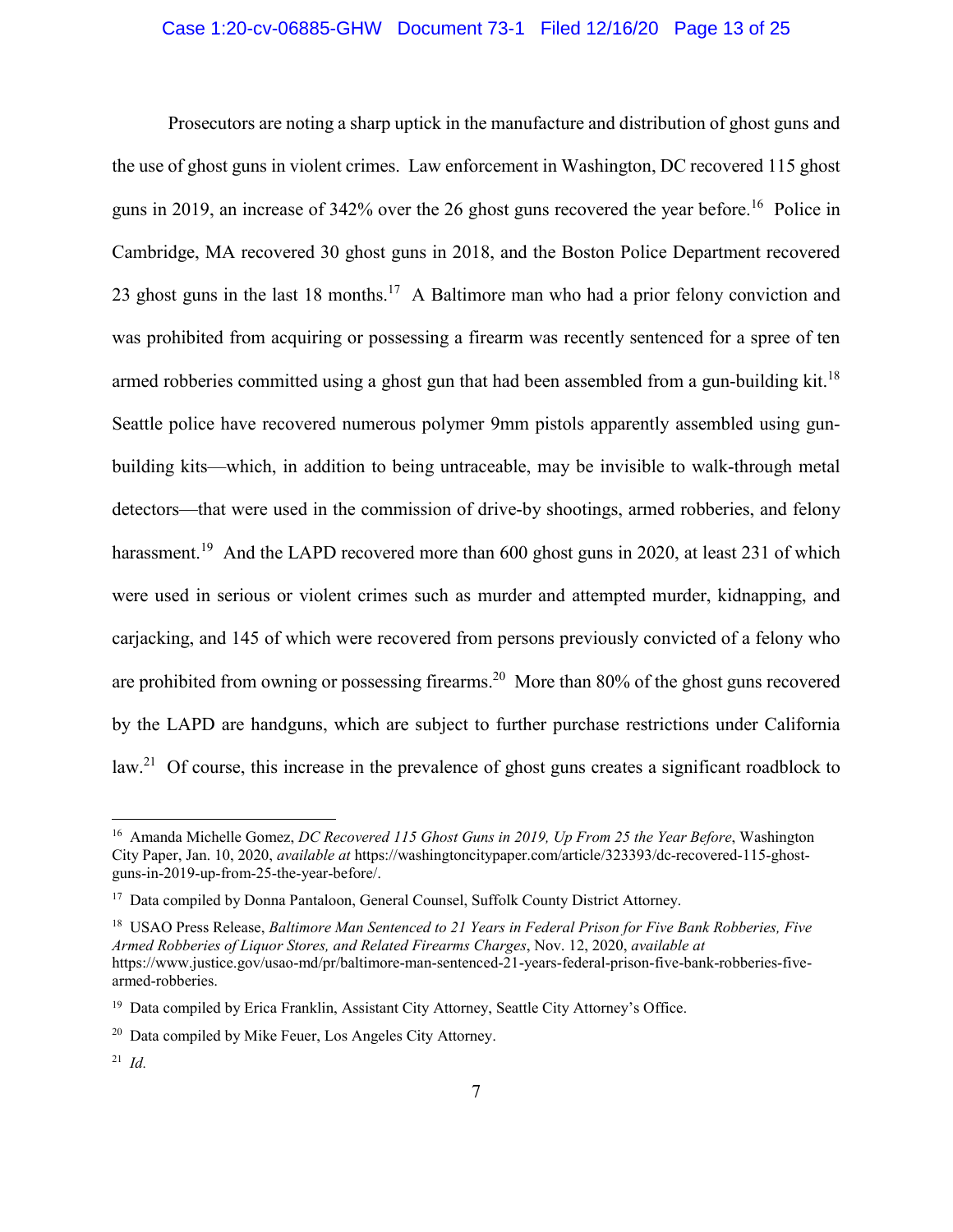# Case 1:20-cv-06885-GHW Document 73-1 Filed 12/16/20 Page 13 of 25

Prosecutors are noting a sharp uptick in the manufacture and distribution of ghost guns and the use of ghost guns in violent crimes. Law enforcement in Washington, DC recovered 115 ghost guns in 2019, an increase of 342% over the 26 ghost guns recovered the year before.<sup>16</sup> Police in Cambridge, MA recovered 30 ghost guns in 2018, and the Boston Police Department recovered 23 ghost guns in the last 18 months.<sup>17</sup> A Baltimore man who had a prior felony conviction and was prohibited from acquiring or possessing a firearm was recently sentenced for a spree of ten armed robberies committed using a ghost gun that had been assembled from a gun-building kit.<sup>18</sup> Seattle police have recovered numerous polymer 9mm pistols apparently assembled using gunbuilding kits—which, in addition to being untraceable, may be invisible to walk-through metal detectors—that were used in the commission of drive-by shootings, armed robberies, and felony harassment.<sup>19</sup> And the LAPD recovered more than 600 ghost guns in 2020, at least 231 of which were used in serious or violent crimes such as murder and attempted murder, kidnapping, and carjacking, and 145 of which were recovered from persons previously convicted of a felony who are prohibited from owning or possessing firearms.<sup>20</sup> More than 80% of the ghost guns recovered by the LAPD are handguns, which are subject to further purchase restrictions under California law.<sup>21</sup> Of course, this increase in the prevalence of ghost guns creates a significant roadblock to

1

<sup>16</sup> Amanda Michelle Gomez, *DC Recovered 115 Ghost Guns in 2019, Up From 25 the Year Before*, Washington City Paper, Jan. 10, 2020, *available at* https://washingtoncitypaper.com/article/323393/dc-recovered-115-ghostguns-in-2019-up-from-25-the-year-before/.

<sup>&</sup>lt;sup>17</sup> Data compiled by Donna Pantaloon, General Counsel, Suffolk County District Attorney.

<sup>18</sup> USAO Press Release, *Baltimore Man Sentenced to 21 Years in Federal Prison for Five Bank Robberies, Five Armed Robberies of Liquor Stores, and Related Firearms Charges*, Nov. 12, 2020, *available at*  https://www.justice.gov/usao-md/pr/baltimore-man-sentenced-21-years-federal-prison-five-bank-robberies-fivearmed-robberies.

<sup>&</sup>lt;sup>19</sup> Data compiled by Erica Franklin, Assistant City Attorney, Seattle City Attorney's Office.

<sup>20</sup> Data compiled by Mike Feuer, Los Angeles City Attorney.

<sup>21</sup> *Id.*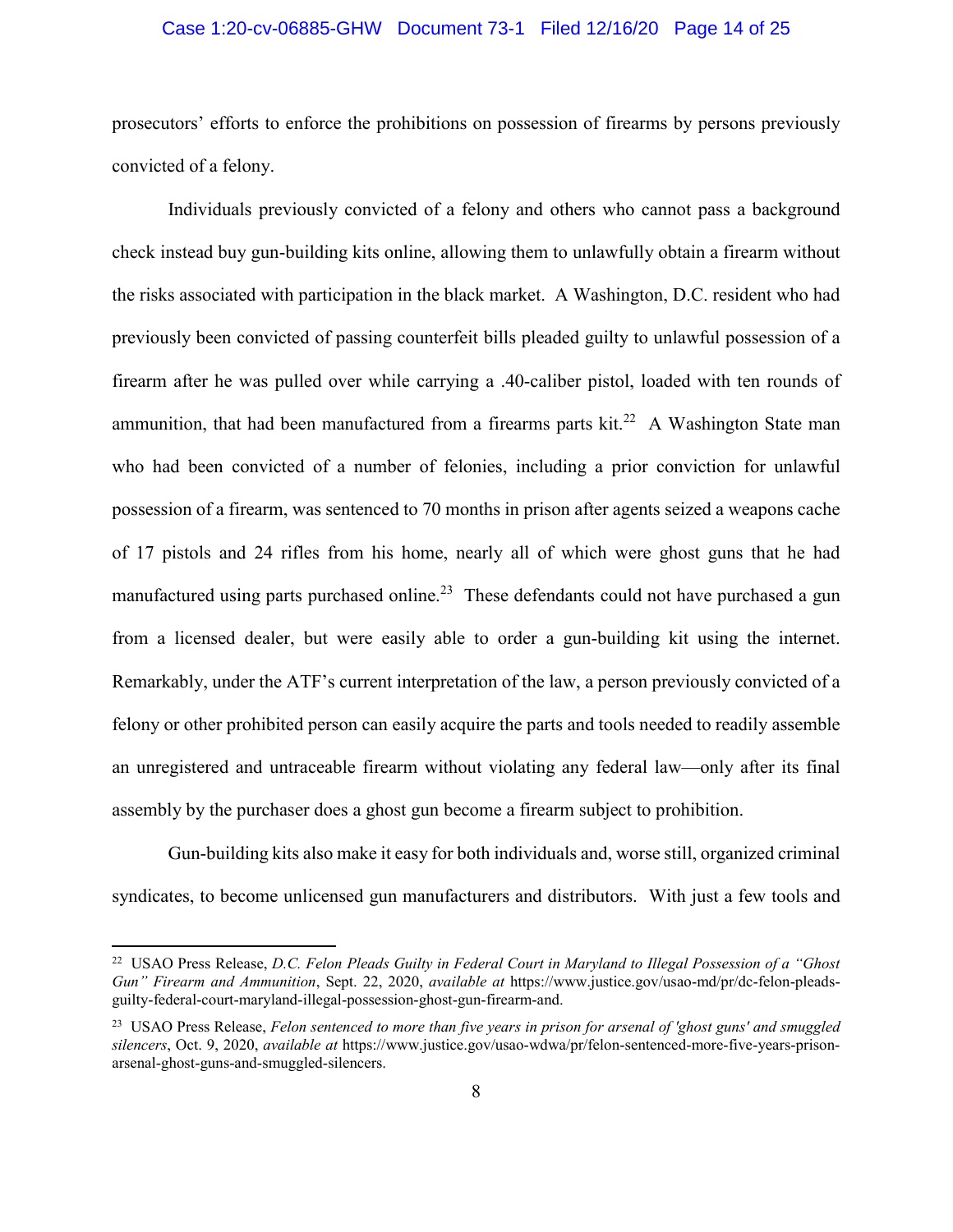#### Case 1:20-cv-06885-GHW Document 73-1 Filed 12/16/20 Page 14 of 25

prosecutors' efforts to enforce the prohibitions on possession of firearms by persons previously convicted of a felony.

Individuals previously convicted of a felony and others who cannot pass a background check instead buy gun-building kits online, allowing them to unlawfully obtain a firearm without the risks associated with participation in the black market. A Washington, D.C. resident who had previously been convicted of passing counterfeit bills pleaded guilty to unlawful possession of a firearm after he was pulled over while carrying a .40-caliber pistol, loaded with ten rounds of ammunition, that had been manufactured from a firearms parts  $kit.^{22}$  A Washington State man who had been convicted of a number of felonies, including a prior conviction for unlawful possession of a firearm, was sentenced to 70 months in prison after agents seized a weapons cache of 17 pistols and 24 rifles from his home, nearly all of which were ghost guns that he had manufactured using parts purchased online.<sup>23</sup> These defendants could not have purchased a gun from a licensed dealer, but were easily able to order a gun-building kit using the internet. Remarkably, under the ATF's current interpretation of the law, a person previously convicted of a felony or other prohibited person can easily acquire the parts and tools needed to readily assemble an unregistered and untraceable firearm without violating any federal law—only after its final assembly by the purchaser does a ghost gun become a firearm subject to prohibition.

Gun-building kits also make it easy for both individuals and, worse still, organized criminal syndicates, to become unlicensed gun manufacturers and distributors. With just a few tools and

 $\overline{a}$ 

<sup>22</sup> USAO Press Release, *D.C. Felon Pleads Guilty in Federal Court in Maryland to Illegal Possession of a "Ghost Gun" Firearm and Ammunition*, Sept. 22, 2020, *available at* https://www.justice.gov/usao-md/pr/dc-felon-pleadsguilty-federal-court-maryland-illegal-possession-ghost-gun-firearm-and.

<sup>23</sup> USAO Press Release, *Felon sentenced to more than five years in prison for arsenal of 'ghost guns' and smuggled silencers*, Oct. 9, 2020, *available at* https://www.justice.gov/usao-wdwa/pr/felon-sentenced-more-five-years-prisonarsenal-ghost-guns-and-smuggled-silencers.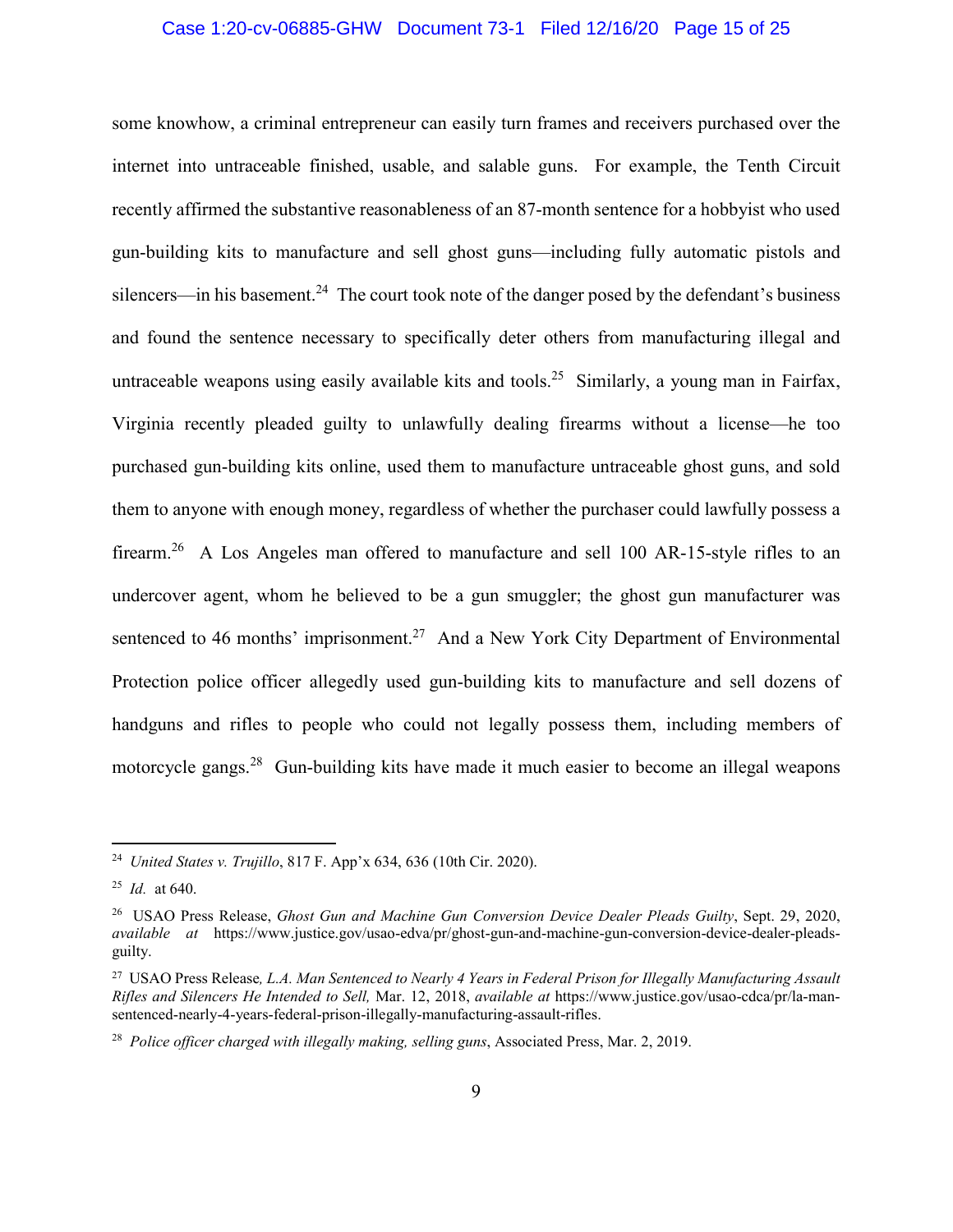#### Case 1:20-cv-06885-GHW Document 73-1 Filed 12/16/20 Page 15 of 25

some knowhow, a criminal entrepreneur can easily turn frames and receivers purchased over the internet into untraceable finished, usable, and salable guns. For example, the Tenth Circuit recently affirmed the substantive reasonableness of an 87-month sentence for a hobbyist who used gun-building kits to manufacture and sell ghost guns—including fully automatic pistols and silencers—in his basement.<sup>24</sup> The court took note of the danger posed by the defendant's business and found the sentence necessary to specifically deter others from manufacturing illegal and untraceable weapons using easily available kits and tools.<sup>25</sup> Similarly, a young man in Fairfax, Virginia recently pleaded guilty to unlawfully dealing firearms without a license—he too purchased gun-building kits online, used them to manufacture untraceable ghost guns, and sold them to anyone with enough money, regardless of whether the purchaser could lawfully possess a firearm.<sup>26</sup> A Los Angeles man offered to manufacture and sell 100 AR-15-style rifles to an undercover agent, whom he believed to be a gun smuggler; the ghost gun manufacturer was sentenced to 46 months' imprisonment.<sup>27</sup> And a New York City Department of Environmental Protection police officer allegedly used gun-building kits to manufacture and sell dozens of handguns and rifles to people who could not legally possess them, including members of motorcycle gangs.<sup>28</sup> Gun-building kits have made it much easier to become an illegal weapons

<sup>24</sup> *United States v. Trujillo*, 817 F. App'x 634, 636 (10th Cir. 2020).

<sup>25</sup> *Id.* at 640.

<sup>26</sup> USAO Press Release, *Ghost Gun and Machine Gun Conversion Device Dealer Pleads Guilty*, Sept. 29, 2020, *available at* https://www.justice.gov/usao-edva/pr/ghost-gun-and-machine-gun-conversion-device-dealer-pleadsguilty.

<sup>27</sup> USAO Press Release*, L.A. Man Sentenced to Nearly 4 Years in Federal Prison for Illegally Manufacturing Assault Rifles and Silencers He Intended to Sell,* Mar. 12, 2018, *available at* https://www.justice.gov/usao-cdca/pr/la-mansentenced-nearly-4-years-federal-prison-illegally-manufacturing-assault-rifles.

<sup>28</sup> *Police officer charged with illegally making, selling guns*, Associated Press, Mar. 2, 2019.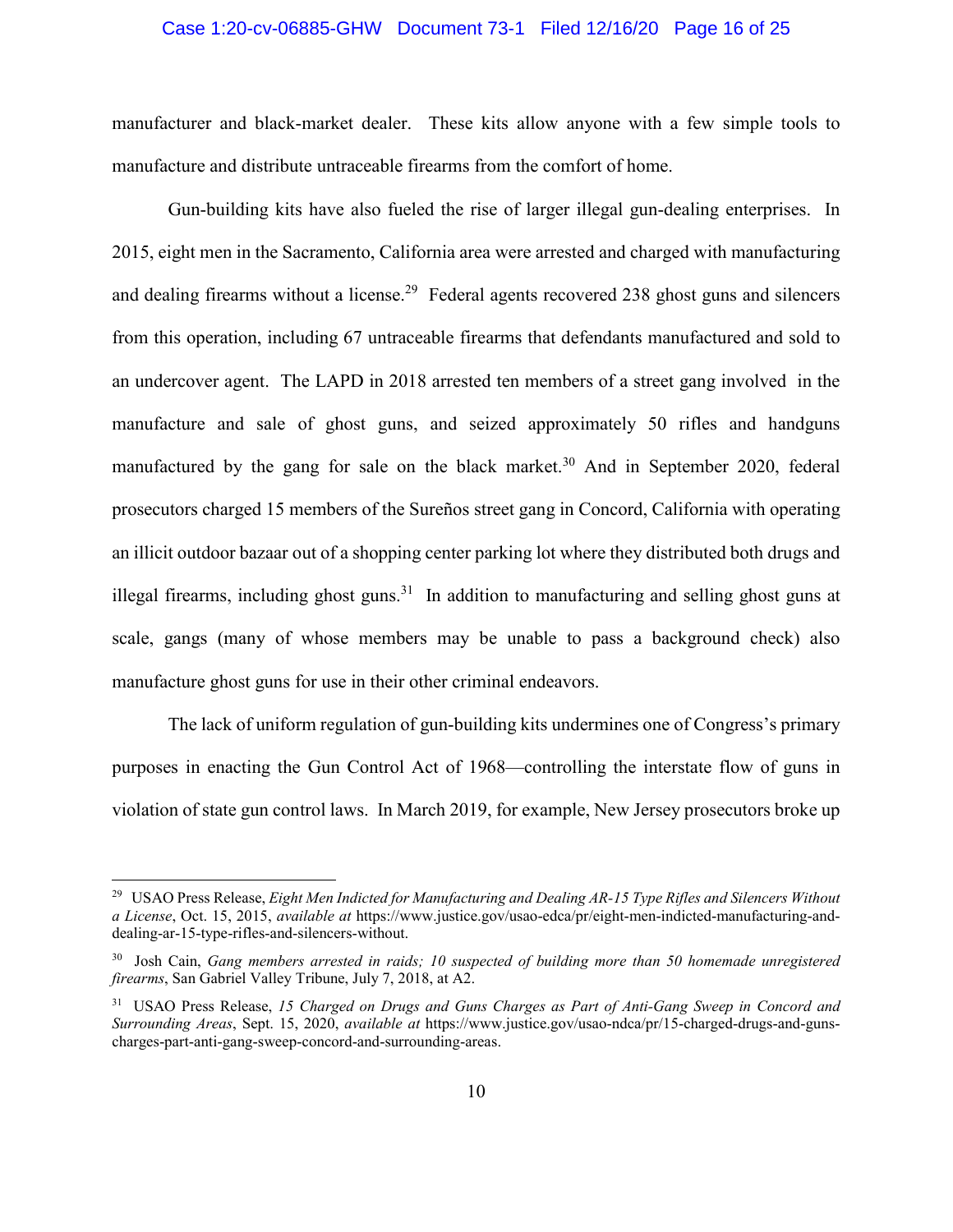#### Case 1:20-cv-06885-GHW Document 73-1 Filed 12/16/20 Page 16 of 25

manufacturer and black-market dealer. These kits allow anyone with a few simple tools to manufacture and distribute untraceable firearms from the comfort of home.

Gun-building kits have also fueled the rise of larger illegal gun-dealing enterprises. In 2015, eight men in the Sacramento, California area were arrested and charged with manufacturing and dealing firearms without a license.<sup>29</sup> Federal agents recovered 238 ghost guns and silencers from this operation, including 67 untraceable firearms that defendants manufactured and sold to an undercover agent. The LAPD in 2018 arrested ten members of a street gang involved in the manufacture and sale of ghost guns, and seized approximately 50 rifles and handguns manufactured by the gang for sale on the black market.<sup>30</sup> And in September 2020, federal prosecutors charged 15 members of the Sureños street gang in Concord, California with operating an illicit outdoor bazaar out of a shopping center parking lot where they distributed both drugs and illegal firearms, including ghost guns.<sup>31</sup> In addition to manufacturing and selling ghost guns at scale, gangs (many of whose members may be unable to pass a background check) also manufacture ghost guns for use in their other criminal endeavors.

The lack of uniform regulation of gun-building kits undermines one of Congress's primary purposes in enacting the Gun Control Act of 1968—controlling the interstate flow of guns in violation of state gun control laws. In March 2019, for example, New Jersey prosecutors broke up

<sup>29</sup> USAO Press Release, *Eight Men Indicted for Manufacturing and Dealing AR-15 Type Rifles and Silencers Without a License*, Oct. 15, 2015, *available at* https://www.justice.gov/usao-edca/pr/eight-men-indicted-manufacturing-anddealing-ar-15-type-rifles-and-silencers-without.

<sup>30</sup> Josh Cain, *Gang members arrested in raids; 10 suspected of building more than 50 homemade unregistered firearms*, San Gabriel Valley Tribune, July 7, 2018, at A2.

<sup>31</sup> USAO Press Release, *15 Charged on Drugs and Guns Charges as Part of Anti-Gang Sweep in Concord and Surrounding Areas*, Sept. 15, 2020, *available at* https://www.justice.gov/usao-ndca/pr/15-charged-drugs-and-gunscharges-part-anti-gang-sweep-concord-and-surrounding-areas.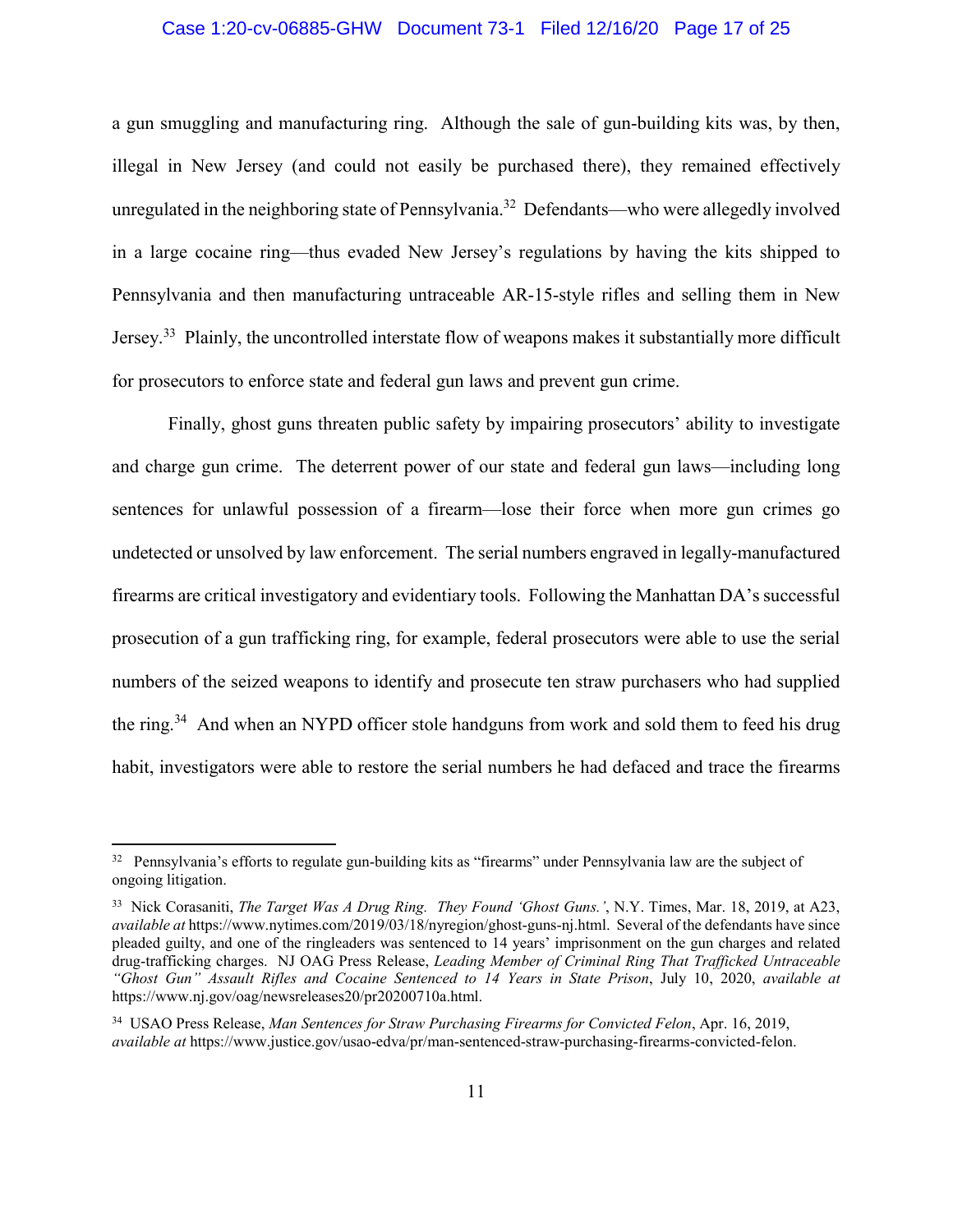#### Case 1:20-cv-06885-GHW Document 73-1 Filed 12/16/20 Page 17 of 25

a gun smuggling and manufacturing ring. Although the sale of gun-building kits was, by then, illegal in New Jersey (and could not easily be purchased there), they remained effectively unregulated in the neighboring state of Pennsylvania.<sup>32</sup> Defendants—who were allegedly involved in a large cocaine ring—thus evaded New Jersey's regulations by having the kits shipped to Pennsylvania and then manufacturing untraceable AR-15-style rifles and selling them in New Jersey.<sup>33</sup> Plainly, the uncontrolled interstate flow of weapons makes it substantially more difficult for prosecutors to enforce state and federal gun laws and prevent gun crime.

Finally, ghost guns threaten public safety by impairing prosecutors' ability to investigate and charge gun crime. The deterrent power of our state and federal gun laws—including long sentences for unlawful possession of a firearm—lose their force when more gun crimes go undetected or unsolved by law enforcement. The serial numbers engraved in legally-manufactured firearms are critical investigatory and evidentiary tools. Following the Manhattan DA's successful prosecution of a gun trafficking ring, for example, federal prosecutors were able to use the serial numbers of the seized weapons to identify and prosecute ten straw purchasers who had supplied the ring.<sup>34</sup> And when an NYPD officer stole handguns from work and sold them to feed his drug habit, investigators were able to restore the serial numbers he had defaced and trace the firearms

1

 $32$  Pennsylvania's efforts to regulate gun-building kits as "firearms" under Pennsylvania law are the subject of ongoing litigation.

<sup>33</sup> Nick Corasaniti, *The Target Was A Drug Ring. They Found 'Ghost Guns.'*, N.Y. Times, Mar. 18, 2019, at A23, *available at* https://www.nytimes.com/2019/03/18/nyregion/ghost-guns-nj.html. Several of the defendants have since pleaded guilty, and one of the ringleaders was sentenced to 14 years' imprisonment on the gun charges and related drug-trafficking charges. NJ OAG Press Release, *Leading Member of Criminal Ring That Trafficked Untraceable "Ghost Gun" Assault Rifles and Cocaine Sentenced to 14 Years in State Prison*, July 10, 2020, *available at* https://www.nj.gov/oag/newsreleases20/pr20200710a.html.

<sup>34</sup> USAO Press Release, *Man Sentences for Straw Purchasing Firearms for Convicted Felon*, Apr. 16, 2019, *available at* https://www.justice.gov/usao-edva/pr/man-sentenced-straw-purchasing-firearms-convicted-felon.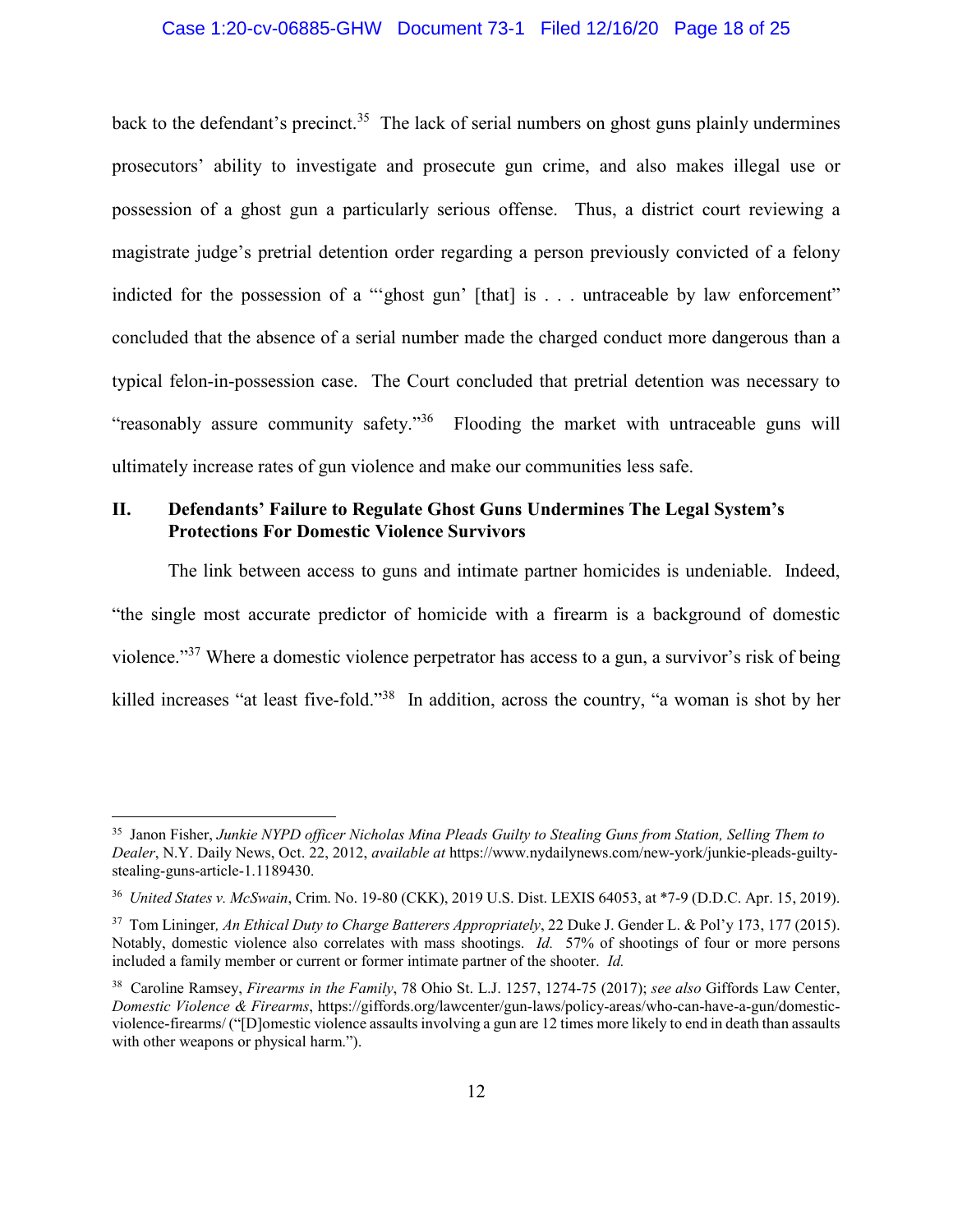#### Case 1:20-cv-06885-GHW Document 73-1 Filed 12/16/20 Page 18 of 25

back to the defendant's precinct.<sup>35</sup> The lack of serial numbers on ghost guns plainly undermines prosecutors' ability to investigate and prosecute gun crime, and also makes illegal use or possession of a ghost gun a particularly serious offense. Thus, a district court reviewing a magistrate judge's pretrial detention order regarding a person previously convicted of a felony indicted for the possession of a "'ghost gun' [that] is . . . untraceable by law enforcement" concluded that the absence of a serial number made the charged conduct more dangerous than a typical felon-in-possession case. The Court concluded that pretrial detention was necessary to "reasonably assure community safety."36 Flooding the market with untraceable guns will ultimately increase rates of gun violence and make our communities less safe.

## **II. Defendants' Failure to Regulate Ghost Guns Undermines The Legal System's Protections For Domestic Violence Survivors**

The link between access to guns and intimate partner homicides is undeniable. Indeed, "the single most accurate predictor of homicide with a firearm is a background of domestic violence."<sup>37</sup> Where a domestic violence perpetrator has access to a gun, a survivor's risk of being killed increases "at least five-fold."38 In addition, across the country, "a woman is shot by her

 $\overline{a}$ 

<sup>35</sup> Janon Fisher, *Junkie NYPD officer Nicholas Mina Pleads Guilty to Stealing Guns from Station, Selling Them to Dealer*, N.Y. Daily News, Oct. 22, 2012, *available at* https://www.nydailynews.com/new-york/junkie-pleads-guiltystealing-guns-article-1.1189430.

<sup>36</sup> *United States v. McSwain*, Crim. No. 19-80 (CKK), 2019 U.S. Dist. LEXIS 64053, at \*7-9 (D.D.C. Apr. 15, 2019).

<sup>37</sup> Tom Lininger*, An Ethical Duty to Charge Batterers Appropriately*, 22 Duke J. Gender L. & Pol'y 173, 177 (2015). Notably, domestic violence also correlates with mass shootings. *Id.* 57% of shootings of four or more persons included a family member or current or former intimate partner of the shooter. *Id.*

<sup>38</sup> Caroline Ramsey, *Firearms in the Family*, 78 Ohio St. L.J. 1257, 1274-75 (2017); *see also* Giffords Law Center, *Domestic Violence & Firearms*, https://giffords.org/lawcenter/gun-laws/policy-areas/who-can-have-a-gun/domesticviolence-firearms/ ("[D]omestic violence assaults involving a gun are 12 times more likely to end in death than assaults with other weapons or physical harm.").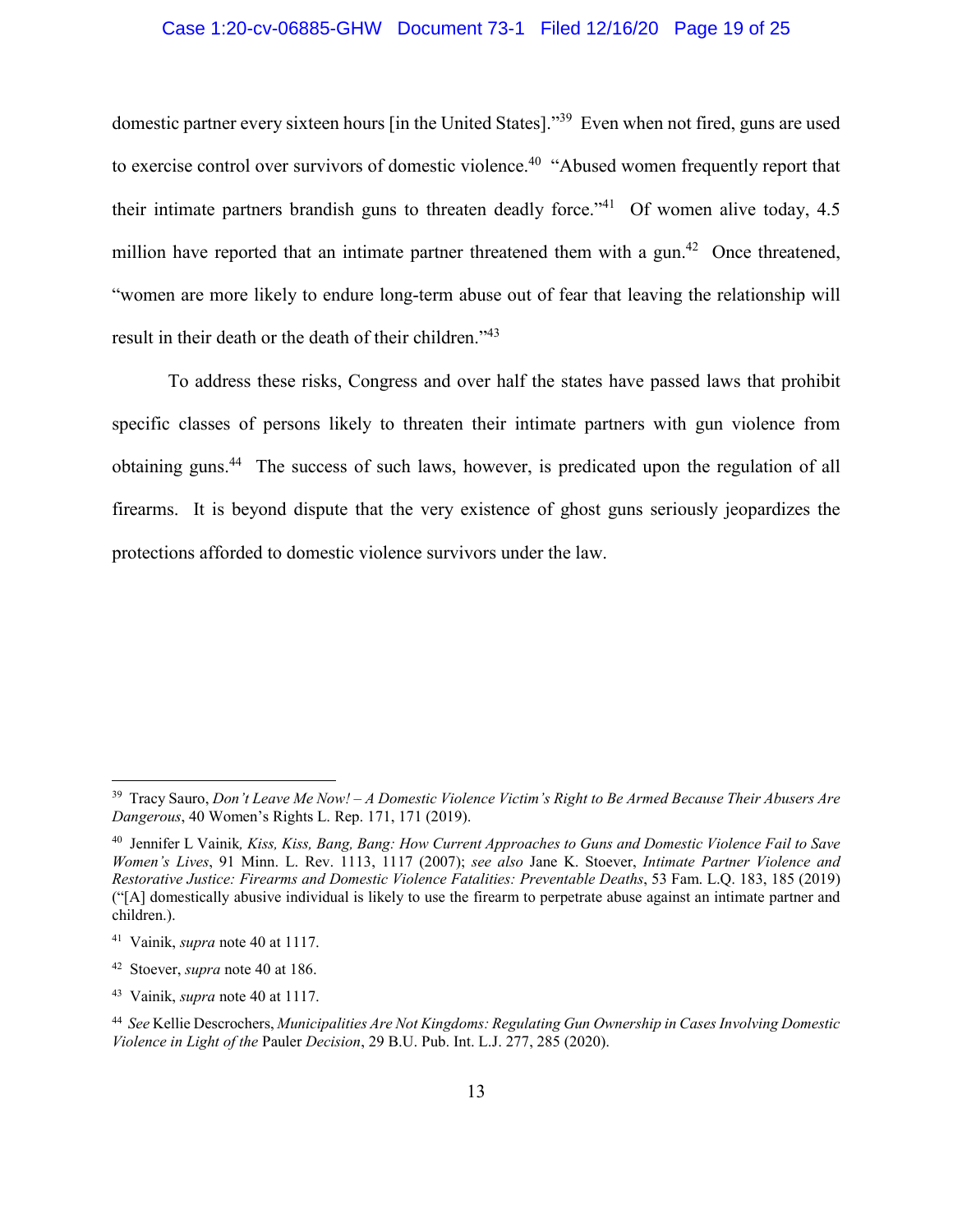## Case 1:20-cv-06885-GHW Document 73-1 Filed 12/16/20 Page 19 of 25

domestic partner every sixteen hours [in the United States]."39 Even when not fired, guns are used to exercise control over survivors of domestic violence.<sup>40</sup> "Abused women frequently report that their intimate partners brandish guns to threaten deadly force."<sup>41</sup> Of women alive today,  $4.5$ million have reported that an intimate partner threatened them with a gun.<sup>42</sup> Once threatened, "women are more likely to endure long-term abuse out of fear that leaving the relationship will result in their death or the death of their children."43

To address these risks, Congress and over half the states have passed laws that prohibit specific classes of persons likely to threaten their intimate partners with gun violence from obtaining guns.<sup>44</sup> The success of such laws, however, is predicated upon the regulation of all firearms. It is beyond dispute that the very existence of ghost guns seriously jeopardizes the protections afforded to domestic violence survivors under the law.

<sup>39</sup> Tracy Sauro, *Don't Leave Me Now! – A Domestic Violence Victim's Right to Be Armed Because Their Abusers Are Dangerous*, 40 Women's Rights L. Rep. 171, 171 (2019).

<sup>40</sup> Jennifer L Vainik*, Kiss, Kiss, Bang, Bang: How Current Approaches to Guns and Domestic Violence Fail to Save Women's Lives*, 91 Minn. L. Rev. 1113, 1117 (2007); *see also* Jane K. Stoever, *Intimate Partner Violence and Restorative Justice: Firearms and Domestic Violence Fatalities: Preventable Deaths*, 53 Fam. L.Q. 183, 185 (2019) ("[A] domestically abusive individual is likely to use the firearm to perpetrate abuse against an intimate partner and children.).

<sup>41</sup> Vainik, *supra* note 40 at 1117.

<sup>42</sup> Stoever, *supra* note 40 at 186.

<sup>43</sup> Vainik, *supra* note 40 at 1117.

<sup>44</sup> *See* Kellie Descrochers, *Municipalities Are Not Kingdoms: Regulating Gun Ownership in Cases Involving Domestic Violence in Light of the* Pauler *Decision*, 29 B.U. Pub. Int. L.J. 277, 285 (2020).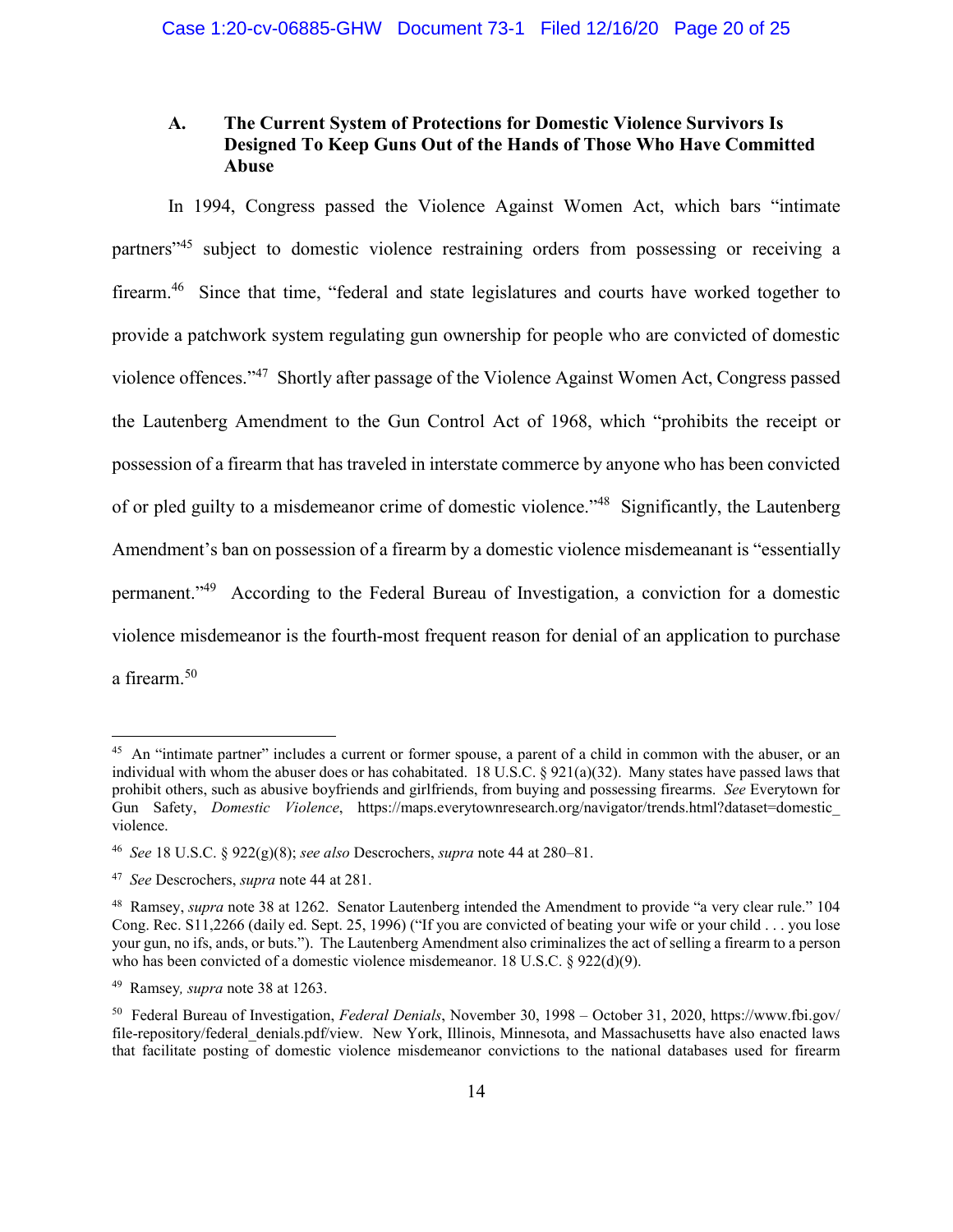# **A. The Current System of Protections for Domestic Violence Survivors Is Designed To Keep Guns Out of the Hands of Those Who Have Committed Abuse**

In 1994, Congress passed the Violence Against Women Act, which bars "intimate partners<sup>"45</sup> subject to domestic violence restraining orders from possessing or receiving a firearm.<sup>46</sup> Since that time, "federal and state legislatures and courts have worked together to provide a patchwork system regulating gun ownership for people who are convicted of domestic violence offences."47 Shortly after passage of the Violence Against Women Act, Congress passed the Lautenberg Amendment to the Gun Control Act of 1968, which "prohibits the receipt or possession of a firearm that has traveled in interstate commerce by anyone who has been convicted of or pled guilty to a misdemeanor crime of domestic violence."<sup>48</sup> Significantly, the Lautenberg Amendment's ban on possession of a firearm by a domestic violence misdemeanant is "essentially permanent."49 According to the Federal Bureau of Investigation, a conviction for a domestic violence misdemeanor is the fourth-most frequent reason for denial of an application to purchase a firearm.<sup>50</sup>

<sup>&</sup>lt;sup>45</sup> An "intimate partner" includes a current or former spouse, a parent of a child in common with the abuser, or an individual with whom the abuser does or has cohabitated. 18 U.S.C. § 921(a)(32). Many states have passed laws that prohibit others, such as abusive boyfriends and girlfriends, from buying and possessing firearms. *See* Everytown for Gun Safety, *Domestic Violence*, https://maps.everytownresearch.org/navigator/trends.html?dataset=domestic\_ violence.

<sup>46</sup> *See* 18 U.S.C. § 922(g)(8); *see also* Descrochers, *supra* note 44 at 280–81.

<sup>47</sup> *See* Descrochers, *supra* note 44 at 281.

<sup>48</sup> Ramsey, *supra* note 38 at 1262. Senator Lautenberg intended the Amendment to provide "a very clear rule." 104 Cong. Rec. S11,2266 (daily ed. Sept. 25, 1996) ("If you are convicted of beating your wife or your child . . . you lose your gun, no ifs, ands, or buts."). The Lautenberg Amendment also criminalizes the act of selling a firearm to a person who has been convicted of a domestic violence misdemeanor. 18 U.S.C. § 922(d)(9).

<sup>49</sup> Ramsey*, supra* note 38 at 1263.

<sup>50</sup> Federal Bureau of Investigation, *Federal Denials*, November 30, 1998 – October 31, 2020, https://www.fbi.gov/ file-repository/federal\_denials.pdf/view. New York, Illinois, Minnesota, and Massachusetts have also enacted laws that facilitate posting of domestic violence misdemeanor convictions to the national databases used for firearm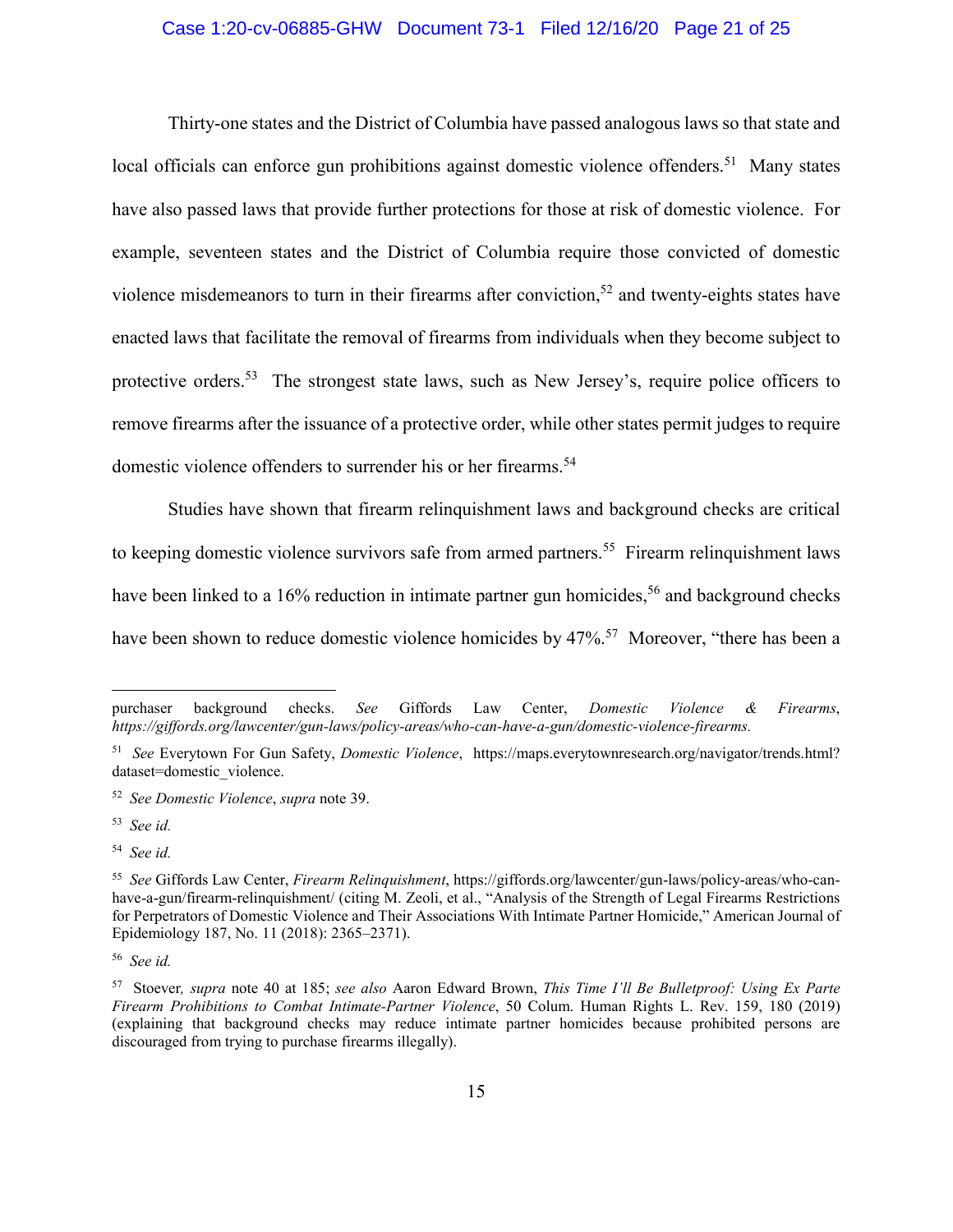# Case 1:20-cv-06885-GHW Document 73-1 Filed 12/16/20 Page 21 of 25

Thirty-one states and the District of Columbia have passed analogous laws so that state and local officials can enforce gun prohibitions against domestic violence offenders.<sup>51</sup> Many states have also passed laws that provide further protections for those at risk of domestic violence. For example, seventeen states and the District of Columbia require those convicted of domestic violence misdemeanors to turn in their firearms after conviction.<sup>52</sup> and twenty-eights states have enacted laws that facilitate the removal of firearms from individuals when they become subject to protective orders.<sup>53</sup> The strongest state laws, such as New Jersey's, require police officers to remove firearms after the issuance of a protective order, while other states permit judges to require domestic violence offenders to surrender his or her firearms.<sup>54</sup>

Studies have shown that firearm relinquishment laws and background checks are critical to keeping domestic violence survivors safe from armed partners.<sup>55</sup> Firearm relinquishment laws have been linked to a 16% reduction in intimate partner gun homicides,<sup>56</sup> and background checks have been shown to reduce domestic violence homicides by 47%.<sup>57</sup> Moreover, "there has been a

1

purchaser background checks. *See* Giffords Law Center, *Domestic Violence & Firearms*, *https://giffords.org/lawcenter/gun-laws/policy-areas/who-can-have-a-gun/domestic-violence-firearms.*

<sup>51</sup> *See* Everytown For Gun Safety, *Domestic Violence*, https://maps.everytownresearch.org/navigator/trends.html? dataset=domestic\_violence.

<sup>52</sup> *See Domestic Violence*, *supra* note 39.

<sup>53</sup> *See id.*

<sup>54</sup> *See id.*

<sup>55</sup> *See* Giffords Law Center, *Firearm Relinquishment*, https://giffords.org/lawcenter/gun-laws/policy-areas/who-canhave-a-gun/firearm-relinquishment/ (citing M. Zeoli, et al., "Analysis of the Strength of Legal Firearms Restrictions for Perpetrators of Domestic Violence and Their Associations With Intimate Partner Homicide," American Journal of Epidemiology 187, No. 11 (2018): 2365–2371).

<sup>56</sup> *See id.*

<sup>57</sup> Stoever*, supra* note 40 at 185; *see also* Aaron Edward Brown, *This Time I'll Be Bulletproof: Using Ex Parte Firearm Prohibitions to Combat Intimate-Partner Violence*, 50 Colum. Human Rights L. Rev. 159, 180 (2019) (explaining that background checks may reduce intimate partner homicides because prohibited persons are discouraged from trying to purchase firearms illegally).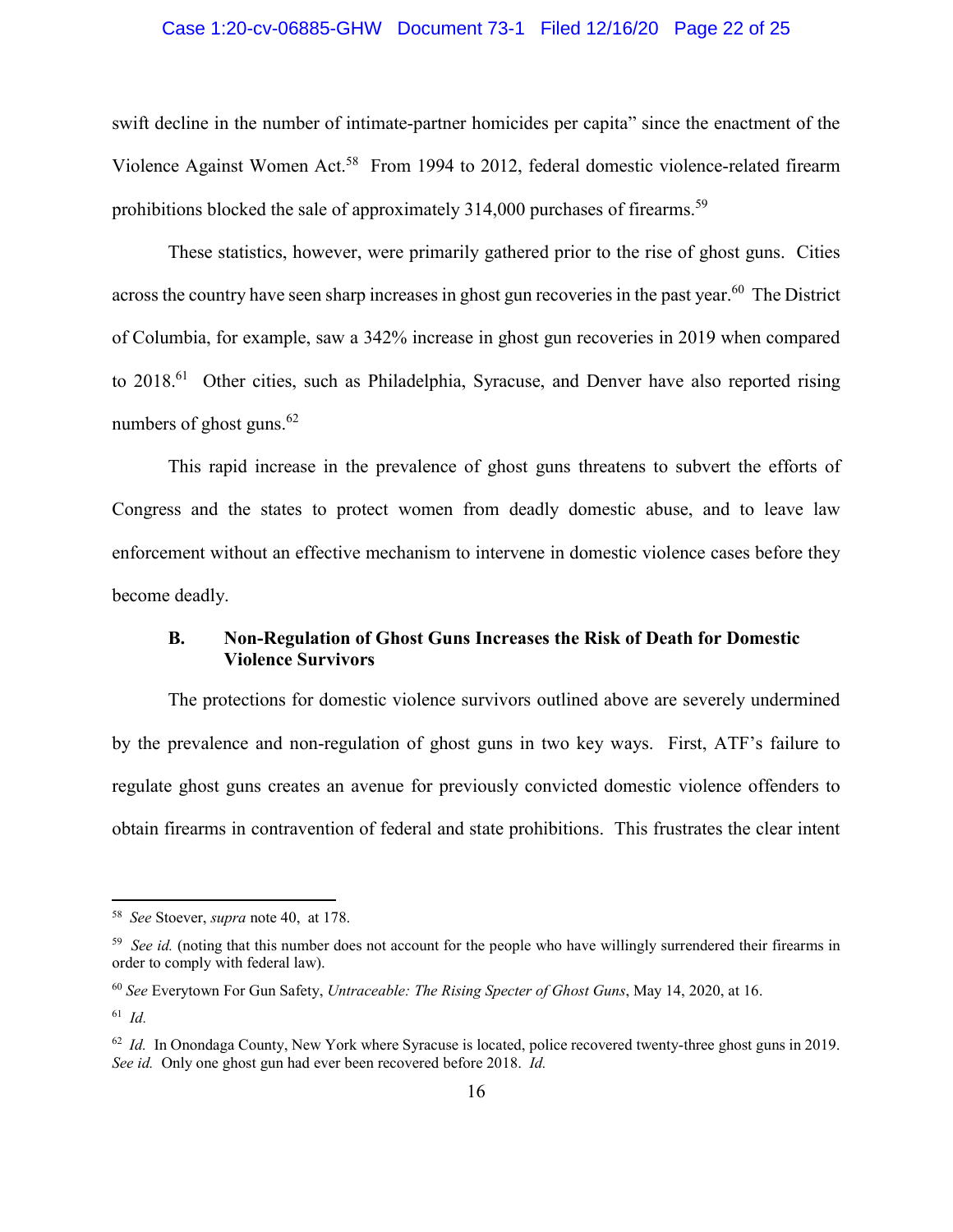## Case 1:20-cv-06885-GHW Document 73-1 Filed 12/16/20 Page 22 of 25

swift decline in the number of intimate-partner homicides per capita" since the enactment of the Violence Against Women Act.<sup>58</sup> From 1994 to 2012, federal domestic violence-related firearm prohibitions blocked the sale of approximately 314,000 purchases of firearms.<sup>59</sup>

These statistics, however, were primarily gathered prior to the rise of ghost guns. Cities across the country have seen sharp increases in ghost gun recoveries in the past year.<sup>60</sup> The District of Columbia, for example, saw a 342% increase in ghost gun recoveries in 2019 when compared to 2018.<sup>61</sup> Other cities, such as Philadelphia, Syracuse, and Denver have also reported rising numbers of ghost guns. $62$ 

This rapid increase in the prevalence of ghost guns threatens to subvert the efforts of Congress and the states to protect women from deadly domestic abuse, and to leave law enforcement without an effective mechanism to intervene in domestic violence cases before they become deadly.

# **B. Non-Regulation of Ghost Guns Increases the Risk of Death for Domestic Violence Survivors**

The protections for domestic violence survivors outlined above are severely undermined by the prevalence and non-regulation of ghost guns in two key ways. First, ATF's failure to regulate ghost guns creates an avenue for previously convicted domestic violence offenders to obtain firearms in contravention of federal and state prohibitions. This frustrates the clear intent

<sup>58</sup> *See* Stoever, *supra* note 40, at 178.

<sup>&</sup>lt;sup>59</sup> *See id.* (noting that this number does not account for the people who have willingly surrendered their firearms in order to comply with federal law).

<sup>60</sup> *See* Everytown For Gun Safety, *Untraceable: The Rising Specter of Ghost Guns*, May 14, 2020, at 16.

<sup>61</sup> *Id.*

<sup>&</sup>lt;sup>62</sup> *Id.* In Onondaga County, New York where Syracuse is located, police recovered twenty-three ghost guns in 2019. *See id.* Only one ghost gun had ever been recovered before 2018. *Id.*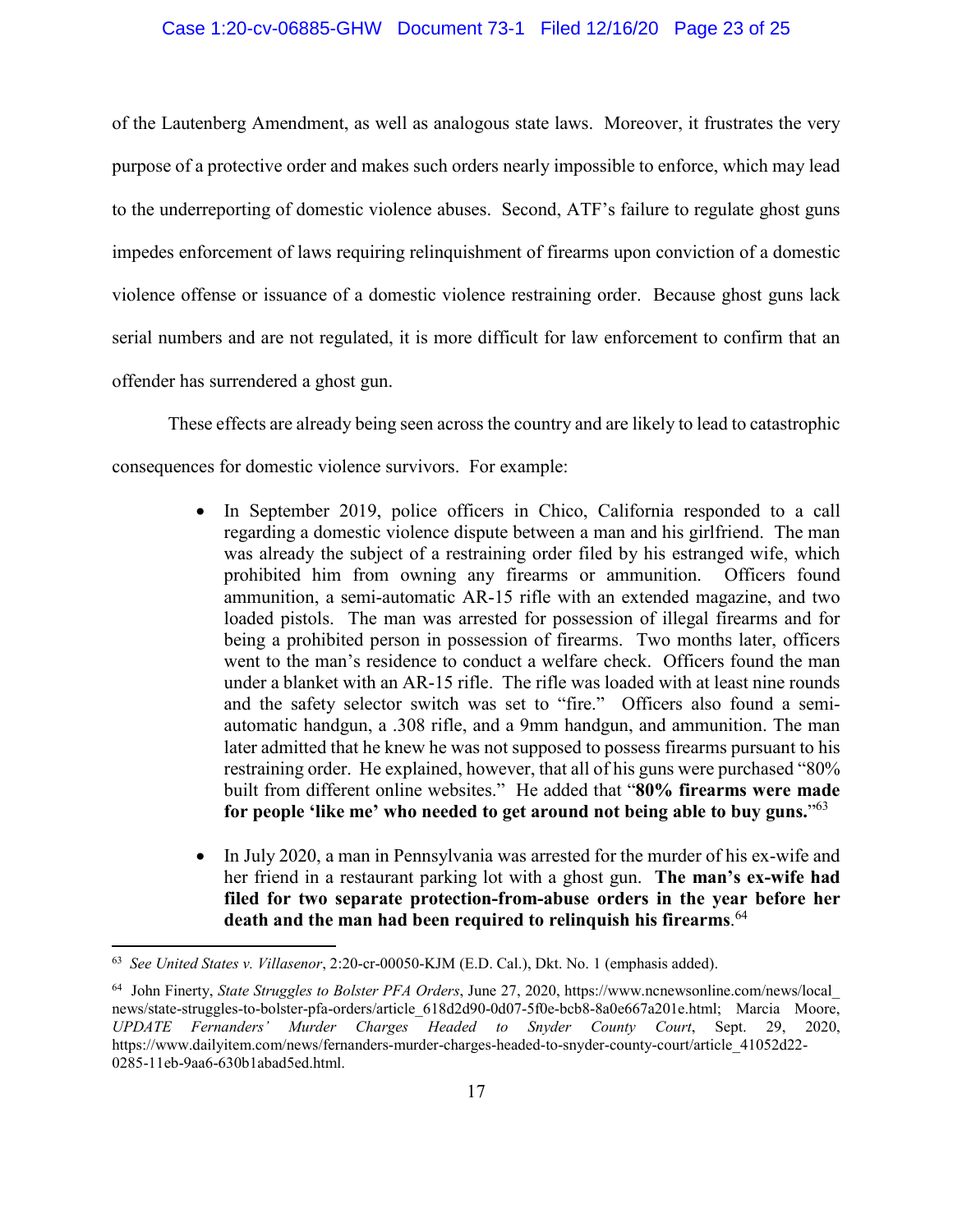#### Case 1:20-cv-06885-GHW Document 73-1 Filed 12/16/20 Page 23 of 25

of the Lautenberg Amendment, as well as analogous state laws. Moreover, it frustrates the very purpose of a protective order and makes such orders nearly impossible to enforce, which may lead to the underreporting of domestic violence abuses. Second, ATF's failure to regulate ghost guns impedes enforcement of laws requiring relinquishment of firearms upon conviction of a domestic violence offense or issuance of a domestic violence restraining order. Because ghost guns lack serial numbers and are not regulated, it is more difficult for law enforcement to confirm that an offender has surrendered a ghost gun.

These effects are already being seen across the country and are likely to lead to catastrophic consequences for domestic violence survivors. For example:

- In September 2019, police officers in Chico, California responded to a call regarding a domestic violence dispute between a man and his girlfriend. The man was already the subject of a restraining order filed by his estranged wife, which prohibited him from owning any firearms or ammunition. Officers found ammunition, a semi-automatic AR-15 rifle with an extended magazine, and two loaded pistols. The man was arrested for possession of illegal firearms and for being a prohibited person in possession of firearms. Two months later, officers went to the man's residence to conduct a welfare check. Officers found the man under a blanket with an AR-15 rifle. The rifle was loaded with at least nine rounds and the safety selector switch was set to "fire." Officers also found a semiautomatic handgun, a .308 rifle, and a 9mm handgun, and ammunition. The man later admitted that he knew he was not supposed to possess firearms pursuant to his restraining order. He explained, however, that all of his guns were purchased "80% built from different online websites." He added that "**80% firearms were made for people 'like me' who needed to get around not being able to buy guns.**"63
- In July 2020, a man in Pennsylvania was arrested for the murder of his ex-wife and her friend in a restaurant parking lot with a ghost gun. **The man's ex-wife had filed for two separate protection-from-abuse orders in the year before her death and the man had been required to relinquish his firearms**. 64

 $\overline{a}$ 

<sup>63</sup> *See United States v. Villasenor*, 2:20-cr-00050-KJM (E.D. Cal.), Dkt. No. 1 (emphasis added).

<sup>64</sup> John Finerty, *State Struggles to Bolster PFA Orders*, June 27, 2020, https://www.ncnewsonline.com/news/local\_ news/state-struggles-to-bolster-pfa-orders/article\_618d2d90-0d07-5f0e-bcb8-8a0e667a201e.html; Marcia Moore, *UPDATE Fernanders' Murder Charges Headed to Snyder County Court*, Sept. 29, 2020, https://www.dailyitem.com/news/fernanders-murder-charges-headed-to-snyder-county-court/article\_41052d22- 0285-11eb-9aa6-630b1abad5ed.html.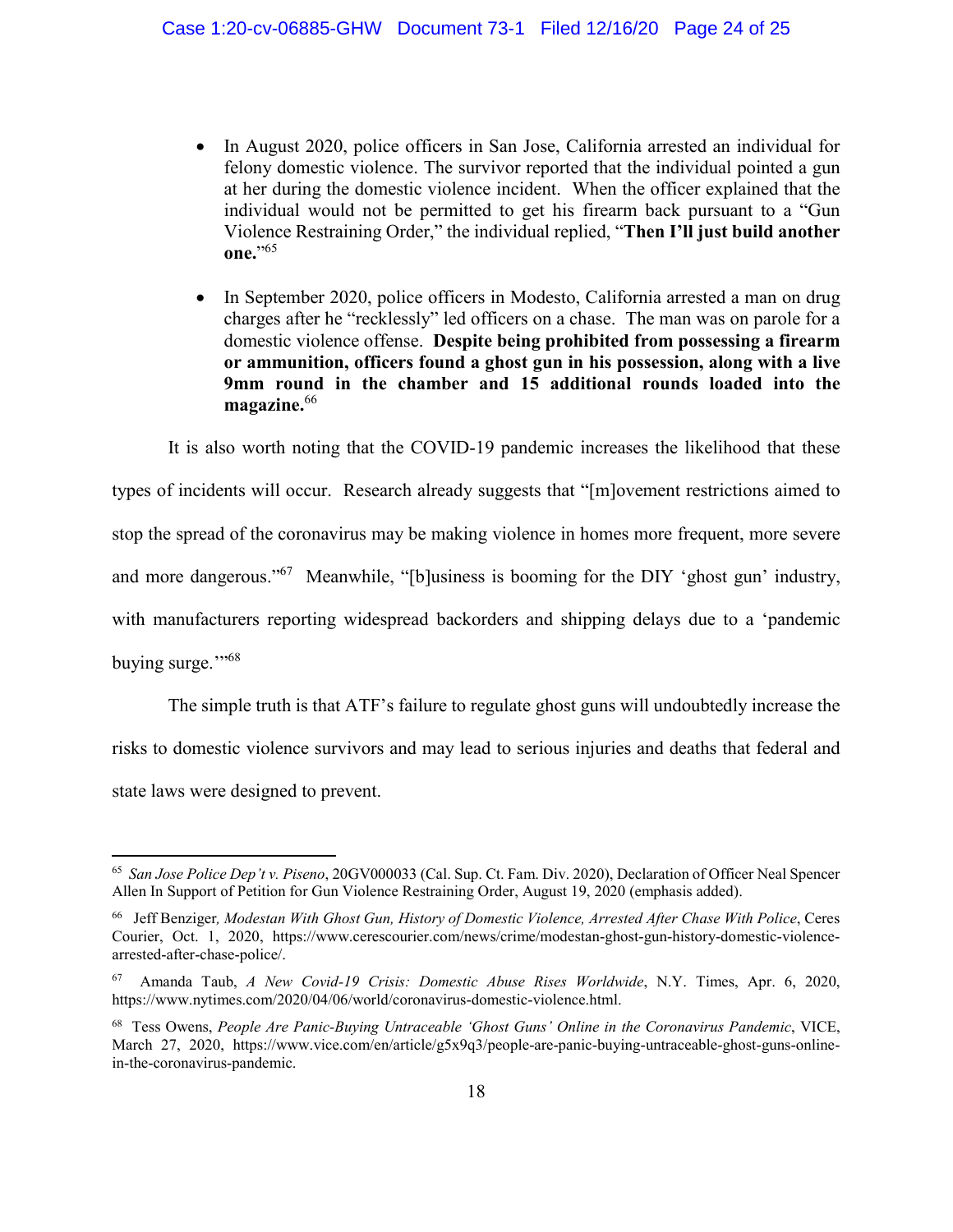- In August 2020, police officers in San Jose, California arrested an individual for felony domestic violence. The survivor reported that the individual pointed a gun at her during the domestic violence incident. When the officer explained that the individual would not be permitted to get his firearm back pursuant to a "Gun Violence Restraining Order," the individual replied, "**Then I'll just build another one.**"65
- In September 2020, police officers in Modesto, California arrested a man on drug charges after he "recklessly" led officers on a chase. The man was on parole for a domestic violence offense. **Despite being prohibited from possessing a firearm or ammunition, officers found a ghost gun in his possession, along with a live 9mm round in the chamber and 15 additional rounds loaded into the**  magazine.<sup>66</sup>

It is also worth noting that the COVID-19 pandemic increases the likelihood that these

types of incidents will occur. Research already suggests that "[m]ovement restrictions aimed to stop the spread of the coronavirus may be making violence in homes more frequent, more severe and more dangerous."<sup>67</sup> Meanwhile, "[b]usiness is booming for the DIY 'ghost gun' industry, with manufacturers reporting widespread backorders and shipping delays due to a 'pandemic buying surge."<sup>568</sup>

The simple truth is that ATF's failure to regulate ghost guns will undoubtedly increase the risks to domestic violence survivors and may lead to serious injuries and deaths that federal and state laws were designed to prevent.

<sup>65</sup> *San Jose Police Dep't v. Piseno*, 20GV000033 (Cal. Sup. Ct. Fam. Div. 2020), Declaration of Officer Neal Spencer Allen In Support of Petition for Gun Violence Restraining Order, August 19, 2020 (emphasis added).

<sup>66</sup> Jeff Benziger*, Modestan With Ghost Gun, History of Domestic Violence, Arrested After Chase With Police*, Ceres Courier, Oct. 1, 2020, https://www.cerescourier.com/news/crime/modestan-ghost-gun-history-domestic-violencearrested-after-chase-police/.

<sup>67</sup> Amanda Taub, *A New Covid-19 Crisis: Domestic Abuse Rises Worldwide*, N.Y. Times, Apr. 6, 2020, https://www.nytimes.com/2020/04/06/world/coronavirus-domestic-violence.html.

<sup>68</sup> Tess Owens, *People Are Panic-Buying Untraceable 'Ghost Guns' Online in the Coronavirus Pandemic*, VICE, March 27, 2020, https://www.vice.com/en/article/g5x9q3/people-are-panic-buying-untraceable-ghost-guns-onlinein-the-coronavirus-pandemic.